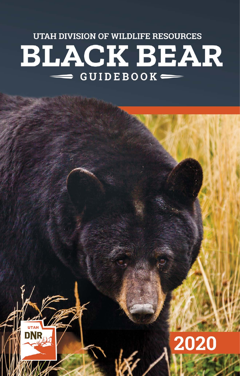UTAH DIVISION OF WILDLIFE RESOURCES **BLACK BEAR** GUIDEBOOK-



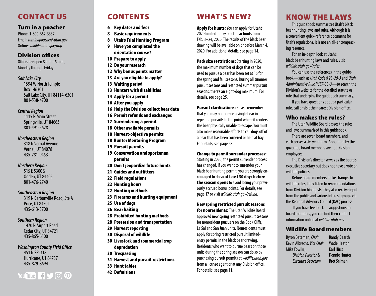# CONTACT US

#### Turn in a poacher

*Utah Black Bear Guidebook • 2020* Phone: 1-800-662-3337 Email: *[turninapoacher@utah.gov](mailto:turninapoacher%40utah.gov?subject=)* Online: *[wildlife.utah.gov/utip](http://wildlife.utah.gov/utip)*

# Division offices

Offices are open 8 a.m.–5 p.m., Monday through Friday.

#### *Salt Lake City*

1594 W North Temple Box 146301 Salt Lake City, UT 84114-6301 801-538-4700

#### *Central Region*

1115 N Main Street Springville, UT 84663 801-491-5678

#### *Northeastern Region*

318 N Vernal Avenue Vernal, UT 84078 435-781-9453

#### *Northern Region*

515 E 5300 S Ogden, UT 84405 801-476-2740

#### *Southeastern Region*

319 N Carbonville Road, Ste A Price, UT 84501 435-613-3700

#### *Southern Region*

1470 N Airport Road Cedar City, UT 84721 435-865-6100

# *Washington County Field Office*

451 N SR-318 Hurricane, UT 84737 435-879-8694

# wildlife.ut<br>M You Tube F J O Q

# CONTENTS

- 6 [Key dates and fees](#page-3-0)
- 8 [Basic requirements](#page-4-0)
- 8 [Utah's Trial Hunting Program](#page-4-0)
- 9 [Have you completed the](#page-4-0)  [orientation course?](#page-4-0)
- 10 [Prepare to apply](#page-5-0)
- 12 [Do your research](#page-5-0)
- 12 [Why bonus points matter](#page-6-0)
- 13 [Are you eligible to apply?](#page-6-0)
- 13 [Waiting period](#page-6-0)
- 13 [Hunters with disabilities](#page-6-0)
- 14 [Apply for a permit](#page-7-0)
- 16 [After you apply](#page-8-0)
- 16 [Help the Division collect bear data](#page-8-0)
- 16 [Permit refunds and exchanges](#page-8-0)
- 17 [Surrendering a permit](#page-8-0)
- 18 [Other available permits](#page-9-0)
- 18 [Harvest-objective permits](#page-9-0)
- 18 Hunter Mentoring Program
- 19 [Pursuit permits](#page-9-0)
- 19 [Conservation and sportsman](#page-10-0)  [permits](#page-10-0)
- 20 Don't jeopardize future hunts
- 21 [Guides and outfitters](#page-11-0)
- 22 [Field regulations](#page-11-0)
- 22 [Hunting hours](#page-11-0)
- 22 [Hunting methods](#page-11-0)
- 23 [Firearms and hunting equipment](#page-11-0)
- 25 [Use of dogs](#page-13-0)
- 26 [Bear baiting](#page-13-0)
- 28 [Prohibited hunting methods](#page-14-0)
- 28 [Possession and transportation](#page-14-0)
- 29 [Harvest reporting](#page-14-0)
- 30 [Disposal of wildlife](#page-15-0)
- 30 [Livestock and commercial crop](#page-15-0)  [depredation](#page-15-0)
- 30 [Trespassing](#page-15-0)
- 31 [Harvest and pursuit restrictions](#page-15-0)
- 33 [Hunt tables](#page-16-0)
- 42 [Definitions](#page-20-0)

# WHAT'S NEW?

**Apply for hunts:** You can apply for Utah's 2020 limited-entry black bear hunts from Feb. 3–24, 2020. The results of the black bear drawing will be available on or before March 4, 2020. For additional details, see [page 14.](#page-7-1)

Pack size restrictions: Starting in 2020, the maximum number of dogs that can be used to pursue a bear has been set at 16 for the spring and fall seasons. During all summer pursuit seasons and restricted summer pursuit seasons, there's an eight-dog maximum. For details, see page [25](#page-12-0).

**Pursuit clarifications: Please remember** that you may not pursue a single bear in repeated pursuits to the point where it renders the bear physically unable to escape. You must also make reasonable efforts to call dogs off of a bear that has been cornered or held at bay. For details, see page [28](#page-14-1).

#### Change to permit surrender processes:

Starting in 2020, the permit surrender process has changed. If you want to surrender your black bear hunting permit, you are strongly en couraged to do so at least 30 days before **the season opens** to avoid losing your previously accrued bonus points . For details, see page [17](#page-8-1) or visit *wildlife.utah.gov/refund*.

New spring restricted pursuit seasons for nonresidents: The Utah Wildlife Board approved new spring restricted pursuit seasons for nonresident pursuers on the Book Cliffs, La Sal and San Juan units. Nonresidents must apply for spring restricted pursuit limitedentry permits in the black bear drawing. Residents who want to pursue bears on those units during the spring season can do so by purchasing pursuit permits at *[wildlife.utah.gov](http://wildlife.utah.gov)*, from a license agent or at any Division office. For details, see page [11](#page-5-1).

# KNOW THE LAWS

This guidebook summarizes Utah's black bear hunting laws and rules. Although it is a convenient quick-reference document for Utah's regulations, it is not an all-encompass ing resource.

For an in-depth look at Utah's black bear hunting laws and rules, visit *[wildlife.utah.gov/rules](http://wildlife.utah.gov/rules)* .

You can use the references in the guide book—such as *Utah Code § 23-20-3* and *Utah Administrative Rule R657-33-3*—to search the Division's website for the detailed statute or rule that underpins the guidebook summary.

If you have questions about a particular rule, call or visit the nearest Division office.

# Who makes the rules?

The Utah Wildlife Board passes the rules and laws summarized in this guidebook.

There are seven board members, and each serves a six-year term. Appointed by the governor, board members are not Division employees.

The Division's director serves as the board's executive secretary but does not have a vote on wildlife policies.

Before board members make changes to wildlife rules, they listen to recommendations from Division biologists. They also receive input from the public and various interest groups via the Regional Advisory Council (RAC) process.

 If you have feedback or suggestions for board members, you can find their contact information online at *[wildlife.utah.gov](http://wildlife.utah.gov)* .

# Wildlife Board members

Byron Bateman, *Chair* Kevin Albrecht, *Vice Chair* Mike Fowlks, *Division Director & Executive Secretary*

Randy Dearth Wade Heaton Karl Hirst Donnie Hunter Bret Selman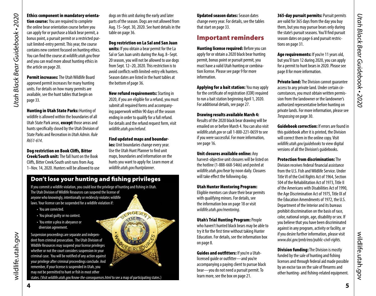# Utah Black Bear Guidebook - 2020 *Utah Black Bear Guidebook • 2020*

#### Ethics component in mandatory orienta-

tion course: You are required to complete the online bear orientation course before you can apply for or purchase a black bear permit, a bonus point, a pursuit permit or a restricted pursuit limited-entry permit. This year, the course contains new content focused on hunting ethics. You can find the course at *wildlife.utah.gov/bear* and you can read more about hunting ethics in the article on page [20.](#page-10-2)

Permit increases: The Utah Wildlife Board approved permit increases for many hunting units. For details on how many permits are available, see the hunt tables that begin on page [33.](#page-16-2)

Hunting in Utah State Parks: Hunting of wildlife is allowed within the boundaries of all Utah State Park areas, **except** those areas and hunts specifically closed by the Utah Division of State Parks and Recreation in *Utah Admin. Rule R651-614*.

Dog restriction on Book Cliffs, Bitter Creek/South unit: The fall hunt on the Book Cliffs, Bitter Creek/South unit runs from Aug. 1–Nov. 14, 2020. Hunters will be allowed to use

dogs on this unit during the early and later parts of the season. Dogs are not allowed from Aug. 15–Sept. 30, 2020. See hunt details in the table on [page 36](#page-18-0).

Dog restriction on La Sal and San Juan

units: If you obtain a bear permit for the La Sal or San Juan units during the Aug. 8–Sept. 20 season, you will not be allowed to use dogs from Sept. 12–20, 2020. This restriction is to avoid conflicts with limited-entry elk hunters. Season dates are listed in the hunt tables at the bottom of [page 3](#page-18-1)6.

New refund requirements: Starting in 2020, if you are eligible for a refund, you must submit all required forms and accompanying paperwork within 90 days of the season ending in order to qualify for a full refund. For details and the refund request form, visit *wildlife.utah.gov/refund*.

Find updated maps and boundar-

**ies:** Unit boundaries change every year. Use the Utah Hunt Planner to find unit maps, boundaries and information on the hunts you want to apply for. Learn more at *wildlife.utah.gov/huntplanner*.

SERGEAN

# Don't lose your hunting and fishing privileges

If you commit a wildlife violation, you could lose the privilege of hunting and fishing in Utah. The Utah Division of Wildlife Resources can suspend the license of anyone who knowingly, intentionally or recklessly violates wildlife laws. Your license can be suspended for a wildlife violation if:

- You are convicted.
- You plead guilty or no contest.
- You enter a plea in abeyance or diversion agreement.

Suspension proceedings are separate and independent from criminal prosecution. The Utah Division of Wildlife Resources may suspend your license privileges whether or not the court considers suspension in your criminal case. You will be notified of any action against your privilege after criminal proceedings conclude. And remember, if your license is suspended in Utah, you may not be permitted to hunt or fish in most other

states. (Visit *wildlife.utah.gov/know-the-consequences.html* to see a map of participating states.)

Updated season dates: Season dates change every year. For details, see the tables that start on [page 33](#page-16-1).

# Important reminders

**Hunting license required: Before you can** apply for or obtain a 2020 black bear hunting permit, bonus point or pursuit permit, you must have a valid Utah hunting or combination license. Please see [page 9](#page-4-2) for more information.

Applying for a bait station: You may apply for the certificate of registration (COR) required to run a bait station beginning April 1, 2020. For additional details, see [page 27](#page-13-1).

#### Drawing results available March 4:

Results of the 2020 black bear drawing will be emailed on or before March 4. You can also visit *[wildlife.utah.gov](http://wildlife.utah.gov)* or call 1-800-221-0659 to see if you were successful. For more information, see [page 1](#page-7-2)6.

#### Unit closures available online: Any

harvest-objective unit closures will be listed on the hotline (1-888-668-5466) and posted at *[wildlife.utah.gov/bear](http://wildlife.utah.gov/bear)* by noon daily. Closures will take effect the following day.

#### Utah Hunter Mentoring Program:

Eligible mentors can share their bear permits with qualifying minors. For details, see the information box on page [18](#page-9-1) or visit *wildlife.utah.gov/mentoring*.

Utah's Trial Hunting Program: People who haven't hunted black bears may be able to try it for the first time without taking Hunter Education. For details, see the information box on [page 8](#page-4-3).

Guides and outfitters: If you're a Utahlicensed guide or outfitter—and you're accompanying a paying client to pursue black bear—you do not need a pursuit permit. To learn more, see the box on [page 21.](#page-10-1)

**365-day pursuit permits: Pursuit permits** are valid for 365 days from the day you buy them, but you may pursue bears only during the state's pursuit seasons. You'll find pursuit season dates on [page 6](#page-3-1) and pursuit restrictions on [page 31.](#page-15-1)

Age requirements: If you're 11 years old, but you'll turn 12 during 2020, you can apply for a permit to hunt bears in 2020. Please see [page 8](#page-4-1) for more information.

**Private land:** The Division cannot quarantee access to any private land. Under certain circumstances, you must obtain written permission from the landowner or the landowner's authorized representative before hunting on private lands. For more information, please see *Trespassing* [on page 30.](#page-15-2)

**Guidebook correction:** If errors are found in this guidebook after it is printed, the Division will correct them in the online copy. Visit *[wildlife.utah.gov/guidebooks](http://wildlife.utah.gov/guidebooks)* to view digital versions of all the Division's guidebooks.

Protection from discrimination: The Division receives federal financial assistance from the U.S. Fish and Wildlife Service. Under Title VI of the Civil Rights Act of 1964, Section 504 of the Rehabilitation Act of 1973, Title II of the Americans with Disabilities Act of 1990, the Age Discrimination Act of 1975, Title IX of the Education Amendments of 1972, the U.S. Department of the Interior and its bureaus prohibit discrimination on the basis of race, color, national origin, age, disability or sex. If you believe that you have been discriminated against in any program, activity or facility, or if you desire further information, please visit *www.doi.gov/pmb/eeo/public-civil-rights.*

**Division funding:** The Division is mostly funded by the sale of hunting and fishing licenses and through federal aid made possible by an excise tax on the sale of firearms and other hunting- and fishing-related equipment.

wildlife.utah.gov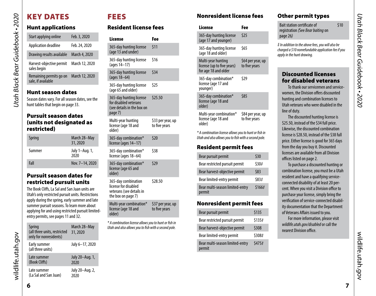# <span id="page-3-2"></span>KEY DATES

*Utah Black Bear Guidebook • 2020*

<span id="page-3-0"></span>Utah Black Bear Guidebook • 2020

# Hunt applications

|                                                                                        | Start applying online                         | Feb. 3, 2020   |  |  |  |
|----------------------------------------------------------------------------------------|-----------------------------------------------|----------------|--|--|--|
|                                                                                        | Application deadline                          | Feb. 24, 2020  |  |  |  |
|                                                                                        | Drawing results available                     | March 4, 2020  |  |  |  |
|                                                                                        | Harvest-objective permit<br>sales begin       | March 12, 2020 |  |  |  |
|                                                                                        | Remaining permits go on<br>sale, if available | March 12, 2020 |  |  |  |
| <b>Hunt season dates</b>                                                               |                                               |                |  |  |  |
| Season dates vary. For all season dates, see the<br>hunt tables that begin on page 33. |                                               |                |  |  |  |

# <span id="page-3-1"></span>Pursuit season dates (units not designated as restricted)

| Spring | March 28-May<br>31, 2020 |
|--------|--------------------------|
| Summer | July 1–Aug. 1,<br>2020   |
| Fall   | Nov. 7-14, 2020          |

# Pursuit season dates for restricted pursuit units

The Book Cliffs, La Sal and San Juan units are Utah's only restricted pursuit units. Restrictions apply during the spring, early summer and late summer pursuit seasons. To learn more about applying for and using restricted pursuit limitedentry permits, see [pages 11](#page-5-2) an[d 32.](#page-16-3)

| Spring<br>(all three units, restricted<br>only for nonresidents) | March 28-May<br>31, 2020 |
|------------------------------------------------------------------|--------------------------|
| Early summer<br>(all three units)                                | July 6-17, 2020          |
| Late summer                                                      | July 20-Aug. 1,          |
| (Book Cliffs)                                                    | 2020                     |
| Late summer                                                      | July 20-Aug. 2,          |
| (La Sal and San Juan)                                            | 2020                     |

# FEES

# Resident license fees

| <b>License</b>                                                                                | Fee                                |
|-----------------------------------------------------------------------------------------------|------------------------------------|
| 365-day hunting license<br>(age 13 and under)                                                 | \$11                               |
| 365-day hunting license<br>(ages 14–17)                                                       | \$16                               |
| 365-day hunting license<br>(ages 18-64)                                                       | \$34                               |
| 365-day hunting license<br>(age 65 and older)                                                 | \$25                               |
| 365-day hunting license<br>for disabled veterans<br>(see details in the box on<br>page 7)     | \$25.50                            |
| Multi-year hunting<br>license (age 18 and<br>older)                                           | \$33 per year, up<br>to five years |
| 365-day combination*<br>license (ages 14-17)                                                  | \$20                               |
| 365-day combination*<br>license (ages 18-64)                                                  | \$38                               |
| 365-day combination*<br>license (age 65 and<br>older)                                         | \$29                               |
| 365-day combination<br>license for disabled<br>veterans (see details in<br>the box on page 7) | \$28.50                            |
| Multi-year combination*<br>license (age 18 and<br>older)                                      | \$37 per year, up<br>to five years |

*\* A combination license allows you to hunt or fish in Utah and also allows you to fish with a second pole.*

# Nonresident license fees

| License                                                                  | Fee                                |
|--------------------------------------------------------------------------|------------------------------------|
| 365-day hunting license<br>(age 17 and younger)                          | \$25                               |
| 365-day hunting license<br>(age 18 and older)                            | \$65                               |
| Multi-year hunting<br>license (up to five years)<br>for age 18 and older | \$64 per year, up<br>to five years |
| 365-day combination*<br>license (age 17 and<br>younger)                  | \$29                               |
| 365-day combination*<br>license (age 18 and<br>older)                    | \$85                               |
| Multi-year combination*<br>license (age 18 and<br>older)                 | \$84 per year, up<br>to five years |

*\* A combination license allows you to hunt or fish in Utah and also allows you to fish with a second pole.*

# Resident permit fees

| Bear pursuit permit                       | \$30   |
|-------------------------------------------|--------|
| Bear restricted pursuit permit            | \$30#  |
| Bear harvest-objective permit             | \$83   |
| Bear limited-entry permit                 | \$83#  |
| Bear multi-season limited-entry<br>permit | \$166# |

# Nonresident permit fees

| Bear pursuit permit                       | \$135  |
|-------------------------------------------|--------|
| Bear restricted pursuit permit            | \$135# |
| Bear harvest-objective permit             | \$308  |
| Bear limited-entry permit                 | \$308# |
| Bear multi-season limited-entry<br>permit | \$475# |

# Other permit types

| <b>Bait station certificate of</b> | \$10 |
|------------------------------------|------|
| registration (See Bear baiting on  |      |
| page 26)                           |      |

*‡ In addition to the above fees, you will also be charged a \$10 nonrefundable application fee if you apply in the hunt drawing.*

# Discounted licenses for disabled veterans

To thank our servicemen and servicewomen, the Division offers discounted hunting and combination licenses to Utah veterans who were disabled in the line of duty.

The discounted hunting license is \$25.50, instead of the \$34 full price. Likewise, the discounted combination license is \$28.50, instead of the \$38 full price. Either license is good for 365 days from the day you buy it. Discounted licenses are available from all Division offices listed on page 2.

To purchase a discounted hunting or combination license, you must be a Utah resident and have a qualifying serviceconnected disability of at least 20 percent. When you visit a Division office to purchase your license, simply bring the verification of service-connected disability documentation that the Department of Veterans Affairs issued to you.

For more information, please visit *wildlife.utah.gov/disabled* or call the nearest Division office.

wildlife.utah.gov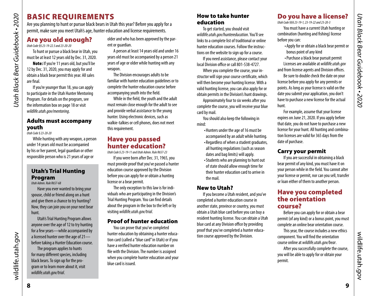# BASIC REQUIREMENTS

Are you planning to hunt or pursue black bears in Utah this year? Before you apply for a permit, make sure you meet Utah's age, hunter education and license requirements.

# <span id="page-4-1"></span>Are you old enough?

*Utah Code §§ 23-19-22.5 and 23-20-20* 

*Utah Black Bear Guidebook • 2020*

<span id="page-4-0"></span>Utah Black Bear Guidebook . 2020

To hunt or pursue a black bear in Utah, you must be at least 12 years old by Dec. 31, 2020.

Note: If you're 11 years old, but you'll be 12 by Dec. 31, 2020, you may apply for and obtain a black bear permit this year. All sales are final.

If you're younger than 18, you can apply to participate in the Utah Hunter Mentoring Program. For details on the program, see the information box on page [18](#page-9-1) or visit *wildlife.utah.gov/mentoring*.

# Adults must accompany youth

*Utah Code § 23-20-20*

While hunting with any weapon, a person under 14 years old must be accompanied by his or her parent, legal guardian or other responsible person who is 21 years of age or

# <span id="page-4-3"></span>Utah's Trial Hunting Program

*Utah Admin. Rule R657-68*

Have you ever wanted to bring your spouse, child or friend along on a hunt and give them a chance to try hunting? Now, they can join you on your next bear hunt.

Utah's Trial Hunting Program allows anyone over the age of 12 to try hunting for a few years—while accompanied by a licensed hunter over the age of 21 before taking a Hunter Education course.

The program applies to hunts for many different species, including black bears. To sign up for the program or to learn more about it, visit *wildlife.utah.gov/trial*.

older and who has been approved by the parent or guardian.

A person at least 14 years old and under 16 years old must be accompanied by a person 21 years of age or older while hunting with any weapon.

The Division encourages adults to be familiar with hunter education guidelines or to complete the hunter education course before accompanying youth into the field.

While in the field, the youth and the adult must remain close enough for the adult to see and provide verbal assistance to the young hunter. Using electronic devices, such as walkie-talkies or cell phones, does not meet this requirement.

# Have you passed hunter education?

*Utah Code § 23-19-11 and Utah Admin. Rule R657-23* 

If you were born after Dec. 31, 1965, you must provide proof that you've passed a hunter education course approved by the Division before you can apply for or obtain a hunting license or a bear permit.

The only exception to this law is for individuals who are participating in the Division's Trial Hunting Program. You can find details about the program in the box to the left or by visiting *wildlife.utah.gov/trial*.

# Proof of hunter education

You can prove that you've completed hunter education by obtaining a hunter education card (called a "blue card" in Utah) or if you have a verified hunter education number on file with the Division. The number is assigned when you complete hunter education and your blue card is issued.

#### How to take hunter education

To get started, you should visit *wildlife.utah.gov/huntereducation*. You'll see links to a complete list of traditional or online hunter education courses. Follow the instructions on the website to sign up for a course.

If you need assistance, please contact your local Division office or call 801-538-4727.

When you complete the course, your instructor will sign your course certificate, which will then become your hunting license. With a valid hunting license, you can also apply for or obtain permits in the Division's hunt drawings.

Approximately four to six weeks after you complete the course, you will receive your blue card by mail.

You should also keep the following in mind:

> •Hunters under the age of 16 must be accompanied by an adult while hunting. • Regardless of when a student graduates, all hunting regulations (such as season dates and bag limits) will apply. •Students who are planning to hunt out of state should allow enough time for their hunter education card to arrive in the mail.

# New to Utah?

If you become a Utah resident, and you've completed a hunter education course in another state, province or country, you must obtain a Utah blue card before you can buy a resident hunting license. You can obtain a Utah blue card at any Division office by providing proof that you've completed a hunter education course approved by the Division.

# <span id="page-4-2"></span>Do you have a license?

*Utah Code §§§ 23-19-1, 23-19-22 and 23-20-3*

You must have a current Utah hunting or combination (hunting and fishing) license before you can:

•Apply for or obtain a black bear permit or bonus point of any kind

•Purchase a black bear pursuit permit Licenses are available at *[wildlife.utah.gov](http://wildlife.utah.gov)*

and from license agents and Division offices. Be sure to double check the date on your license before you apply for any permits or points. As long as your license is valid on the

date you submit your application, you don't have to purchase a new license for the actual hunt.

For example, assume that your license expires on June 21, 2020. If you apply before that date, you do not have to purchase a new license for your hunt. All hunting and combination licenses are valid for 365 days from the date of purchase.

# Carry your permit

If you are successful in obtaining a black bear permit of any kind, you must have it on your person while in the field. You cannot alter your license or permit, nor can you sell, transfer or loan either of them to another person.

# <span id="page-4-4"></span>Have you completed the orientation course?

Before you can apply for or obtain a bear permit (of any kind) or a bonus point, you must complete an online bear orientation course.

This year, the course includes a new ethics component. You will find the orientation course online at *[wildlife.utah.gov/bear](http://wildlife.utah.gov/bear)*.

After you successfully complete the course, you will be able to apply for or obtain your permit.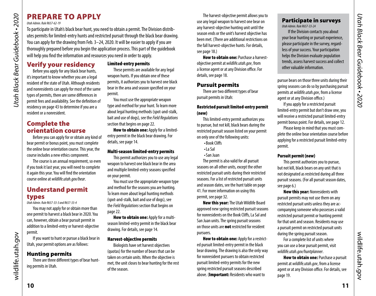# <span id="page-5-0"></span>PREPARE TO APPLY

#### *Utah Admin. Rule R657-62-19*

To participate in Utah's black bear hunt, you need to obtain a permit. The Division distributes permits for limited-entry hunts and restricted pursuit through the black bear drawing. You can apply for the drawing from Feb. 3–24, 2020. It will be easier to apply if you are thoroughly prepared before you begin the application process. This part of the guidebook will help you find the information and resources you need in order to apply.

Verify your residency Before you apply for any black bear hunts, it's important to know whether you are a legal resident of the state of Utah. Although residents and nonresidents can apply for most of the same types of permits, there are some differences in permit fees and availability. See the definition of residency on [page 43](#page-21-0) to determine if you are a resident or a nonresident.

# Complete the orientation course

Before you can apply for or obtain any kind of bear permit or bonus point, you must complete the online bear orientation course. This year, the course includes a new ethics component.

The course is an annual requirement, so even if you took it last year, you will need to complete it again this year. You will find the orientation course online at *[wildlife.utah.gov/bear](http://wildlife.utah.gov/bear)*.

# Understand permit types

*Utah Admin. Rule R657-33-3 and R657-33-4*

You may not apply for or obtain more than one permit to harvest a black bear in 2020. You can, however, obtain a bear pursuit permit in addition to a limited-entry or harvest-objective permit.

If you want to hunt or pursue a black bear in Utah, your permit options are as follows:

# Hunting permits

There are three different types of bear hunting permits in Utah.

#### <span id="page-5-3"></span>Limited-entry permits

These permits are available for any legal weapon hunts. If you obtain one of these permits, it authorizes you to harvest one black bear in the area and season specified on your permit.

You must use the appropriate weapon type and method for your hunt. To learn more about legal hunting methods (spot-and-stalk, bait and use of dogs), see the *Field Regulations* section that begins on [page 22.](#page-11-1)

How to obtain one: Apply for a limitedentry permit in the black bear drawing. For details, see [page 14](#page-7-1).

#### Multi-season limited-entry permits

This permit authorizes you to use any legal weapon to harvest one black bear in the area and multiple limited-entry seasons specified on your permit.

You must use the appropriate weapon type and method for the seasons you are hunting. To learn more about legal hunting methods (spot-and-stalk, bait and use of dogs), see the *Field Regulations* section that begins on [page 22.](#page-11-1)

How to obtain one: Apply for a multiseason limited-entry permit in the black bear drawing. For details, see [page 14.](#page-7-1)

#### Harvest-objective permits

Biologists have set harvest objectives (quotas) for the number of bears that can be taken on certain units. When the objective is met, the unit closes to bear hunting for the rest of the season.

The harvest-objective permit allows you to use any legal weapon to harvest one bear on any harvest-objective hunting unit until the season ends or the unit's harvest objective has been met. (There are additional restrictions on the fall harvest-objective hunts. For details, see [page 18](#page-9-3).)

**How to obtain one: Purchase a harvest**objective permit at *[wildlife.utah.gov](http://wildlife.utah.gov)*, from a license agent or at any Division office. For details, see [page 18](#page-9-3).

# <span id="page-5-1"></span>Pursuit permits

There are two different types of bear pursuit permits in Utah:

#### <span id="page-5-2"></span>Restricted pursuit limited-entry permit (new)

This limited-entry permit authorizes you to pursue, but not kill, black bears during the restricted pursuit season listed on your permit on only one of the following units:

- •Book Cliffs
- •La Sal
- •San Juan

The permit is also valid for all pursuit seasons on all other units, except the other restricted pursuit units during their restricted seasons. For a list of restricted pursuit units and season dates, see the hunt table on [page](#page-20-1)  [41.](#page-20-1) For more information on using this permit, see [page 32](#page-16-3).

New this year: The Utah Wildlife Board approved new spring restricted pursuit seasons for nonresidents on the Book Cliffs, La Sal and San Juan units. The spring pursuit seasons on those units are **not** restricted for resident pursuers.

How to obtain one: Apply for a restricted pursuit limited-entry permit in the black bear drawing. The drawing is also the only way for nonresident pursuers to obtain restricted pursuit limited-entry permits for the new spring restricted pursuit seasons described above. (Important: Residents who want to

#### Participate in surveys *Utah Admin. Rule R657-33-24*

If the Division contacts you about your bear hunting or pursuit experience, please participate in the survey, regardless of your success. Your participation helps the Division evaluate population trends, assess harvest success and collect other valuable information.

pursue bears on those three units during their spring seasons can do so by purchasing pursuit permits at *[wildlife.utah.gov](http://wildlife.utah.gov)*, from a license agent or at any Division office.)

If you apply for a restricted pursuit limited-entry permit but don't draw one, you will receive a restricted pursuit limited-entry permit bonus point. For details, see [page 12](#page-6-1).

Please keep in mind that you must complete the online bear orientation course before applying for a restricted pursuit limited-entry permit.

#### Pursuit permit (new)

This permit authorizes you to pursue, but not kill, black bears on any unit that is not designated as restricted during all three pursuit seasons. (For all pursuit season dates, see [page 6](#page-3-1).)

New this year: Nonresidents with pursuit permits may not use them on any restricted pursuit units unless they are accompanying someone who possesses a valid restricted pursuit permit or hunting permit for that unit and season. Residents may use a pursuit permit on restricted pursuit units during the spring pursuit season.

For a complete list of units where you can use a bear pursuit permit, visit *[wildlife.utah.gov/](http://wildlife.utah.gov/maps)huntplanner*.

How to obtain one: Purchase a pursuit permit at *[wildlife.utah.gov](http://wildlife.utah.gov)*, from a license agent or at any Division office. For details, see [page 19.](#page-9-2)

wildlife.utah.gov

wildlife.utah.gov

wildlife.utah.gov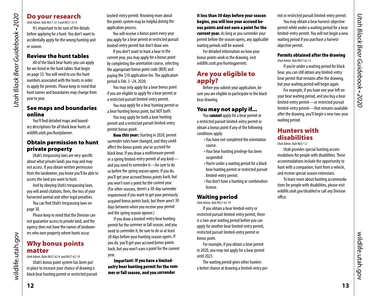# Do your research

*Utah Admin. Rule R657-33-3 and R657-33-4* It's important to be sure of the details before applying for a hunt. You don't want to accidentally apply for the wrong hunting unit or season.

# Review the hunt tables

*Utah Black Bear Guidebook • 2020*

<span id="page-6-0"></span>Utah Black Bear Guidebook . 2020

All of the black bear hunts you can apply for are listed in the hunt tables that begin on [page 33.](#page-16-1) You will need to use the hunt numbers associated with the hunts in order to apply for permits. Please keep in mind that hunt names and boundaries may change from year to year.

#### See maps and boundaries online

You'll find detailed maps and boundary descriptions for all black bear hunts at *wildlife.utah.gov/huntplanner*.

# Obtain permission to hunt private property

Utah's trespassing laws are very specific about what private lands you may and may not access. If you obtain written permission from the landowner, you know you'll be able to access the land you want to hunt.

And by obeying Utah's trespassing laws, you will avoid citations, fines, the loss of your harvested animal and other legal penalties.

You can find Utah's trespassing laws on [page 30.](#page-15-2)

Please keep in mind that the Division cannot guarantee access to private land, and the agency does not have the names of landowners who own property where hunts occur.

# <span id="page-6-1"></span>Why bonus points matter

*Utah Admin. Rules R657-62-8 and R657-62-19*

Utah's bonus point system has been put in place to increase your chance of drawing a black bear hunting permit or restricted pursuit limited-entry permit. Knowing more about the points system may be helpful during the application process.

You will receive a bonus point every year you apply for a bear permit or restricted pursuit limited-entry permit but don't draw one.

If you don't want to hunt a bear in the current year, you may apply for a bonus point by completing the orientation course, selecting the appropriate bonus point code (BER) and paying the \$10 application fee. The application period is Feb. 3–24, 2020.

You may only apply for a bear bonus point if you are eligible to apply for a bear permit or a restricted pursuit limited-entry permit.

You may apply for a bear hunting permit or a bear hunting bonus point, but NOT both.

You may apply for both a bear hunting permit and a restricted pursuit limited-entry permit bonus point.

New this year: Starting in 2020, permit surrender rules have changed, and they could affect the bonus points you've accrued for black bear. If you draw a multiseason permit or a spring limited-entry permit of any kind and you need to surrender it—be sure to do so before the spring season opens. If you do, you'll get your accrued bonus points back, but you won't earn a point for the current year. (For other seasons, there's a 30-day surrender requirement if you want to get your previously acquired bonus points back, but there aren't 30 days between when you receive your permit and the spring season opener.)

If you draw a limited-entry bear hunting permit for the summer or fall season, and you need to surrender it, be sure to do so at least 30 days before your hunting season opens. If you do, you'll get your accrued bonus points back, but you won't earn a point for the current year.

Important: If you have a limitedentry bear hunting permit for the summer or fall season, and you surrender

it less than 30 days before your season begins, you will lose your accrued bonus points and not earn a point for the current year. As long as you surrender your permit before the season opens, any applicable waiting periods will be waived.

For detailed information on how your bonus points work in the drawing, visit *wildlife.utah.gov/huntingpermits*.

# Are you eligible to apply?

Before you submit your application, be sure you are eligible to participate in the black bear drawing.

# You may not apply if...

You **cannot** apply for a bear permit or a restricted pursuit limited-entry permit or obtain a bonus point if any of the following conditions apply:

- •You have not completed the orientation course.
- •Your bear hunting privilege has been suspended.
- •You're under a waiting period for a black bear hunting permit or restricted pursuit limited-entry permit.
- •You don't have a hunting or combination license.

# Waiting period

*Utah Admin. Rule R657-62-19*

If you obtain a bear limited-entry or restricted pursuit limited-entry permit, there is a two-year waiting period before you can apply for another bear limited-entry permit, restricted pursuit limited-entry permit or bonus point.

For example, if you obtain a bear permit in 2020, you may not apply for a bear permit until 2023.

The waiting period gives other hunters a better chance at drawing a limited-entry per-

mit or restricted pursuit limited-entry permit. You may obtain a bear harvest-objective permit while under a waiting period for a bear limited-entry permit. You will not begin a new waiting period if you purchase a harvestobjective permit.

#### Permits obtained after the drawing *Utah Admin. Rule R657-62-15*

If you're under a waiting period for black bear, you can still obtain any limited-entry bear permit that remains after the drawing, but your waiting period will begin again.

For example, if you have one year left on your bear waiting period, and you buy a bear limited-entry permit—or restricted pursuit limited-entry permit—that remains available after the drawing, you'll begin a new two-year waiting period.

# Hunters with disabilities

*Utah Admin. Rule R657-12*

Utah provides special hunting accommodations for people with disabilities. These accommodations include the opportunity to hunt with a companion, hunt from a vehicle, and receive special season extensions.

To learn more about hunting accommodations for people with disabilities, please visit *[wildlife.utah.gov/disabled](http://wildlife.utah.gov/disabled)* or call any Division office.

wildlife.utah.gov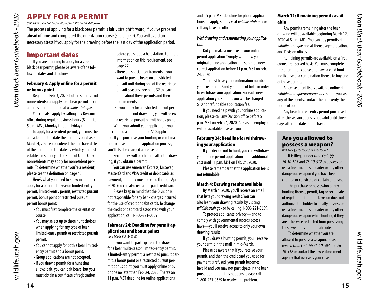# <span id="page-7-1"></span><span id="page-7-0"></span>APPLY FOR A PERMIT

*Utah Admin. Rule R657-33-3, R657-33-27, R657-42 and R657-62* 

The process of applying for a black bear permit is fairly straightforward, if you've prepared ahead of time and completed the orientation course (see [page 9\)](#page-4-4). You will avoid unnecessary stress if you apply for the drawing before the last day of the application period.

# Important dates

If you are planning to apply for a 2020 black bear permit, please be aware of the following dates and deadlines.

#### February 3: Apply online for a permit or bonus point

Beginning Feb. 3, 2020, both residents and nonresidents can apply for a bear permit—or a bonus point—online at *[wildlife.utah.gov](http://wildlife.utah.gov)*.

You can also apply by calling any Division office during regular business hours (8 a.m. to 5 p.m. MST, Monday through Friday).

To apply for a resident permit, you must be a resident on the date the permit is purchased. March 4, 2020 is considered the purchase date of the permit and the date by which you must establish residency in the state of Utah. Only nonresidents may apply for nonresident permits. To determine whether you're a resident, please see the definition on [page 43](#page-21-0).

Here's what you need to know in order to apply for a bear multi-season limited-entry permit, limited-entry permit, restricted pursuit permit, bonus point or restricted pursuit permit bonus point:

- •You must first complete the orientation course.
- •You may select up to three hunt choices when applying for any type of bear limited-entry permit or restricted pursuit permit.
- •You cannot apply for both a bear limitedentry permit and a bonus point.
- •Group applications are not accepted.
- •If you draw a permit for a hunt that allows bait, you can bait bears, but you must obtain a certificate of registration

before you set up a bait station. For more information on this requirement, see [page 27.](#page-13-1)

- •There are special requirements if you want to pursue bears on a restricted pursuit unit during one of the restricted pursuit seasons. See page [32](#page-16-3) to learn more about these permits and their requirements.
- •If you apply for a restricted pursuit permit but do not draw one, you will receive a restricted pursuit permit bonus point. When you submit your application, you'll

be charged a nonrefundable \$10 application fee. If you purchase your hunting or combination license during the application process, you'll also be charged a license fee.

Permit fees will be charged after the drawing, if you obtain a permit.

You can use American Express, Discover, MasterCard and VISA credit or debit cards as payment, and they must be valid through April 2020. You can also use a pre-paid credit card.

Please keep in mind that the Division is not responsible for any bank charges incurred for the use of credit or debit cards. To change the credit or debit card associated with your application, call 1-800-221-0659.

# February 24: Deadline for permit applications and bonus points

*Utah Admin. Rule R657-62*

If you want to participate in the drawing for a bear multi-season limited-entry permit, a limited-entry permit, a restricted pursuit permit, a bonus point or a restricted pursuit permit bonus point, you must apply online or by phone no later than Feb. 24, 2020. There's an 11 p.m. MST deadline for online applications

and a 5 p.m. MST deadline for phone applications. To apply, simply visit *[wildlife.utah.gov](http://wildlife.utah.gov)* or call any Division office.

# *Withdrawing and resubmitting your application*

Did you make a mistake in your online permit application? Simply withdraw your original online application and submit a new, correct application before 11 p.m. MST on Feb. 24, 2020.

You must have your confirmation number, your customer ID and your date of birth in order to withdraw your application. For each new application you submit, you will be charged a \$10 nonrefundable application fee.

If you need help with your online application, please call any Division office before 5 p.m. MST on Feb. 24, 2020. A Division employee will be available to assist you.

#### February 24: Deadline for withdrawing your application

If you decide not to hunt, you can withdraw your online permit application at no additional cost until 11 p.m. MST on Feb. 24, 2020.

Please remember that the application fee is not refundable.

# <span id="page-7-2"></span>March 4: Drawing results available

By March 4, 2020, you'll receive an email that lists your drawing results. You can also learn your drawing results by visiting *[wildlife.utah.gov](http://wildlife.utah.gov)* or by calling 1-800-221-0659.

To protect applicants' privacy—and to comply with governmental records access laws—you'll receive access to only your own drawing results.

If you draw a hunting permit, you'll receive your permit in the mail in mid-March.

Please be aware that if you receive your permit, and then the credit card you used for payment is refused, your permit becomes invalid and you may not participate in the bear pursuit or hunt. If this happens, please call 1-800-221-0659 to resolve the problem.

#### March 12: Remaining permits available

Any permits remaining after the bear drawing will be available beginning March 12, 2020 at 8 a.m. MDT. You can buy permits at *[wildlife.utah.gov](http://wildlife.utah.gov)* and at license agent locations and Division offices.

Remaining permits are available on a firstcome, first-served basis. You must complete the orientation course and have a valid hunting license or a combination license to buy one of these permits.

A license agent list is available online at *[wildlife.utah.gov/licenseagents](http://wildlife.utah.gov/licenseagents).* Before you visit any of the agents, contact them to verify their hours of operation.

Any bear limited-entry permit purchased after the season opens is not valid until three days after the date of purchase.

# Are you allowed to possess a weapon?

*Utah Code §§ 76-10-503 and 76-10-512*

It is illegal under *Utah Code §§ 76-10-503* and *76-10-512* to possess or use a firearm, muzzleloader or any other dangerous weapon if you have been charged or convicted of certain offenses.

The purchase or possession of any hunting license, permit, tag or certificate of registration from the Division does not authorize the holder to legally possess or use a firearm, muzzleloader or any other dangerous weapon while hunting if they are otherwise restricted from possessing these weapons under Utah Code.

To determine whether you are allowed to possess a weapon, please review *Utah Code §§ 76-10-503* and *76- 10-512* or contact the law enforcement agency that oversees your case.

wildlife.utah.gov

wildlife.utah.gov

wildlife.utah.gov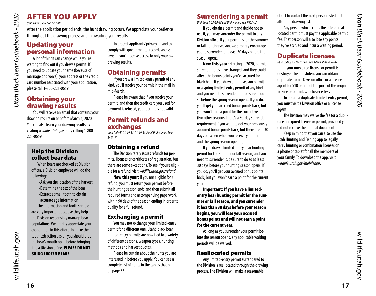# <span id="page-8-0"></span>AFTER YOU APPLY

*Utah Admin. Rule R657-62-19*

After the application period ends, the hunt drawing occurs. We appreciate your patience throughout the drawing process and in awaiting your results.

# Updating your personal information

A lot of things can change while you're waiting to find out if you drew a permit. If you need to update your name (because of marriage or divorce), your address or the credit card number associated with your application, please call 1-800-221-0659.

# Obtaining your drawing results

You will receive an email that contains your drawing results on or before March 4, 2020. You can also learn your drawing results by visiting *wildlife.utah.gov* or by calling 1-800- 221-0659.

# Help the Division collect bear data

When bears are checked at Division offices, a Division employee will do the following:

- •Ask you the location of the harvest
- •Determine the sex of the bear
- •Extract a small tooth to obtain accurate age information

The information and tooth sample are very important because they help the Division responsibly manage bear populations. We greatly appreciate your cooperation in this effort. To make the tooth extraction easier, you should prop the bear's mouth open before bringing it to a Division office. PLEASE DO NOT BRING FROZEN BEARS.

To protect applicants' privacy—and to comply with governmental records access laws—you'll receive access to only your own drawing results.

# Obtaining permits

If you drew a limited-entry permit of any kind, you'll receive your permit in the mail in mid-March.

Please be aware that if you receive your permit, and then the credit card you used for payment is refused, your permit is not valid.

# Permit refunds and exchanges

*Utah Code §§ 23-19-38, 23-19-38.2 and Utah Admin. Rule R657-42*

# Obtaining a refund

The Division rarely issues refunds for permits, licenses or certificates of registration, but there are some exceptions. To see if you're eligible for a refund, visit *[wildlife.utah.gov/refund](http://wildlife.utah.gov/refund)*.

New this year: If you are eligible for a refund, you must return your permit before the hunting season ends and then submit all required forms and accompanying paperwork within 90 days of the season ending in order to qualify for a full refund.

# Exchanging a permit

You may not exchange your limited-entry permit for a different one. Utah's black bear limited-entry permits are now tied to a variety of different seasons, weapon types, hunting methods and harvest quotas.

Please be certain about the hunts you are interested in before you apply. You can see a complete list of hunts in the tables that begin on [page 33.](#page-16-1)

# <span id="page-8-1"></span>Surrendering a permit

*Utah Code § 23-19-38 and Utah Admin. Rule R657-42*

If you obtain a permit and decide not to use it, you may surrender the permit to any Division office. If your permit is for the summer or fall hunting season, we strongly encourage you to surrender it at least 30 days before the season opens.

New this year: Starting in 2020, permit surrender rules have changed, and they could affect the bonus points you've accrued for black bear. If you draw a multiseason permit or a spring limited-entry permit of any kind and you need to surrender it—be sure to do so before the spring season opens. If you do, you'll get your accrued bonus points back, but you won't earn a point for the current year. (For other seasons, there's a 30-day surrender requirement if you want to get your previously acquired bonus points back, but there aren't 30 days between when you receive your permit and the spring season opener.)

If you draw a limited-entry bear hunting permit for the summer or fall season, and you need to surrender it, be sure to do so at least 30 days before your hunting season opens. If you do, you'll get your accrued bonus points back, but you won't earn a point for the current year.

Important: If you have a limitedentry bear hunting permit for the summer or fall season, and you surrender it less than 30 days before your season begins, you will lose your accrued bonus points and will not earn a point for the current year.

As long as you surrender your permit before the season opens, any applicable waiting periods will be waived.

# Reallocated permits

Any limited-entry permit surrendered to the Division is reallocated through the drawing process. The Division will make a reasonable

effort to contact the next person listed on the alternate drawing list.

Any person who accepts the offered reallocated permit must pay the applicable permit fee. That person will also lose any points they've accrued and incur a waiting period.

# Duplicate licenses

*Utah Code § 23-19-10 and Utah Admin. Rule R657-42*

If your unexpired license or permit is destroyed, lost or stolen, you can obtain a duplicate from a Division office or a license agent for \$10 or half of the price of the original license or permit, whichever is less.

To obtain a duplicate limited-entry permit, you must visit a Division office or a license agent.

The Division may waive the fee for a duplicate unexpired license or permit, provided you did not receive the original document.

Keep in mind that you can also use the Utah Hunting and Fishing app to legally carry hunting or combination licenses on a phone or tablet for all the members of your family. To download the app, visit *wildlife.utah.gov/mobileapp*.

wildlife.utah.gov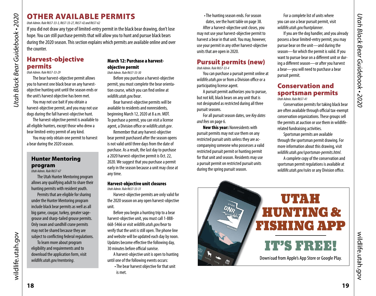# OTHER AVAILABLE PERMITS

*Utah Admin. Rule R657-33-3, R657-33-27, R657-42 and R657-62* 

If you did not draw any type of limited-entry permit in the black bear drawing, don't lose hope. You can still purchase permits that will allow you to hunt and pursue black bears during the 2020 season. This section explains which permits are available online and over the counter.

# <span id="page-9-3"></span>Harvest-objective permits

*Utah Admin. Rule R657-33-29*

*Utah Black Bear Guidebook • 2020*

<span id="page-9-0"></span>Utah Black Bear Guidebook - 2020

The bear harvest-objective permit allows you to harvest one black bear on any harvestobjective hunting unit until the season ends or the unit's harvest objective has been met.

You may not use bait if you obtain a harvest-objective permit, and you may not use dogs during the fall harvest-objective hunt.

The harvest-objective permit is available to all eligible hunters, except those who drew a bear limited-entry permit of any kind.

You may only obtain one permit to harvest a bear during the 2020 season.

#### <span id="page-9-1"></span>Hunter Mentoring program *Utah Admin. Rule R657-67*

The Utah Hunter Mentoring program allows any qualifying adult to share their hunting permits with resident youth.

Permits that are eligible for sharing under the Hunter Mentoring program include black bear permits as well as all big game, cougar, turkey, greater sagegrouse and sharp-tailed grouse permits. Only swan and sandhill crane permits may not be shared because they are subject to conflicting federal regulations.

To learn more about program eligibility and requirements and to download the application form, visit *wildlife.utah.gov/mentoring*.

# March 12: Purchase a harvestobjective permit

*Utah Admin. Rule R657-33-30*

Before you purchase a harvest-objective permit, you must complete the bear orientation course, which you can find online at *wildlife.utah.gov/bear*.

Bear harvest-objective permits will be available to residents and nonresidents, beginning March 12, 2020 at 8 a.m. MDT. To purchase a permit, you can visit a license agent, a Division office or *wildlife.utah.gov*.

Remember that any harvest-objective bear permit purchased after the season opens is not valid until three days from the date of purchase. As a result, the last day to purchase a 2020 harvest-objective permit is Oct. 22, 2020. We suggest that you purchase a permit early in the season because a unit may close at any time.

#### Harvest-objective unit closures *Utah Admin. Rule R657-33-31*

Harvest-objective permits are only valid for the 2020 season on any open harvest-objective unit.

Before you begin a hunting trip to a bear harvest-objective unit, you must call 1-888- 668-5466 or visit *wildlife.utah.gov/bear* to verify that the unit is still open. The phone line and website will be updated each day by noon. Updates become effective the following day, 30 minutes before official sunrise.

A harvest-objective unit is open to hunting until one of the following events occurs:

•The bear harvest objective for that unit is met.

•The hunting season ends. For season dates, see the hunt table on [page 38.](#page-19-0) After a harvest-objective unit closes, you may not use your harvest-objective permit to harvest a bear in that unit. You may, however, use your permit in any other harvest-objective units that are open in 2020.

# <span id="page-9-2"></span>Pursuit permits (new)

*Utah Admin. Rule R657-33-4*

You can purchase a pursuit permit online at *wildlife.utah.gov* or from a Division office or a participating license agent.

A pursuit permit authorizes you to pursue, but not kill, black bears on any unit that is not designated as restricted during all three pursuit seasons.

For all pursuit season dates, see *Key dates and fees* on [page 6](#page-3-2).

New this year: Nonresidents with pursuit permits may not use them on any restricted pursuit units unless they are accompanying someone who possesses a valid restricted pursuit permit or hunting permit for that unit and season. Residents may use a pursuit permit on restricted pursuit units during the spring pursuit season.

For a complete list of units where you can use a bear pursuit permit, visit *wildlife.utah.gov/huntplanner*.

If you are the dog handler, and you already possess a bear limited-entry permit, you may pursue bear on the unit—and during the season—for which the permit is valid. If you want to pursue bear on a different unit or during a different season—or after you harvest a bear—you will need to purchase a bear pursuit permit.

#### Conservation and sportsman permits *Utah Admin. Rule R657-41*

Conservation permits for taking black bear are often available through official tax-exempt conservation organizations. These groups sell the permits at auction or use them in wildliferelated fundraising activities.

Sportsman permits are available through the sportsman permit drawing. For more information about this drawing, visit *wildlife.utah.gov/sportsman-permits.html*.

A complete copy of the conservation and sportsman permit regulations is available at *wildlife.utah.gov/rules* or any Division office.

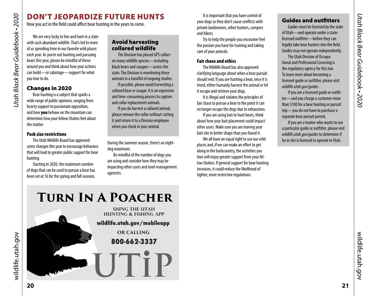# <span id="page-10-2"></span>DON'T JEOPARDIZE FUTURE HUNTS

How you act in the field could affect bear hunting in the years to come.

We are very lucky to live and hunt in a state with such abundant wildlife. That's led to more of us spending time in our favorite wild places each year. As you're out hunting and pursuing bears this year, please be mindful of those around you and think about how your actions can build—or sabotage—support for what you love to do.

# Changes in 2020

*Utah Black Bear Guidebook • 2020*

<span id="page-10-0"></span>Utah Black Bear Guidebook • 2020

Bear hunting is a subject that sparks a wide range of public opinions, ranging from hearty support to passionate opposition, and how you behave on the mountain can determine how your fellow Utahns feel about the matter.

#### Pack size restrictions

The Utah Wildlife Board has approved some changes this year to encourage behaviors that will lead to greater public support for bear hunting.

Starting in 2020, the maximum number of dogs that can be used to pursue a bear has been set at 16 for the spring and fall seasons.

# Avoid harvesting collared wildlife

The Division has placed GPS collars on many wildlife species—including black bears and cougars—across the state. The Division is monitoring these animals in a handful of ongoing studies.

If possible, please avoid harvesting a collared bear or cougar. It is an expensive and time-consuming process to capture and collar replacement animals.

If you do harvest a collared animal, please remove the collar without cutting it and return it to a Division employee when you check in your animal.

During the summer season, there's an eightdog maximum.

Be mindful of the number of dogs you are using and consider how they may be impacting other users and land-management agencies.

It is important that you have control of your dogs so they don't cause conflicts with private landowners, other hunters, campers and hikers.

Try to help the people you encounter feel the passion you have for training and taking care of your animals.

#### Fair chase and ethics

The Wildlife Board has also approved clarifying language about when a bear pursuit should end. If you are hunting a bear, once it is treed, either humanly harvest the animal or let it escape and retrieve your dogs.

It is illegal and violates the principles of fair chase to pursue a bear to the point it can no longer escape the dogs due to exhaustion.

If you are using bait to hunt bears, think about how your bait placement could impact other users. Make sure you are leaving your bait site in better shape than you found it.

We all have an equal right to use our wild places and, if we can make an effort to get along in the backcountry, the activities you love will enjoy greater support from your fellow Utahns. If general support for bear hunting increases, it could reduce the likelihood of tighter, more restrictive regulations.

# <span id="page-10-1"></span>Guides and outfitters

Guides must be licensed by the state of Utah—and operate under a statelicensed outfitter—before they can legally take bear hunters into the field. Guides may not operate independently.

The Utah Division of Occupational and Professional Licensing is the regulatory agency for this law. To learn more about becoming a licensed guide or outfitter, please visit *[wildlife.utah.gov/guides](http://wildlife.utah.gov/guides)*.

If you are a licensed guide or outfitter—and you charge a customer more than \$100 for a bear hunting or pursuit trip—you do not have to purchase a separate bear pursuit permit.

If you are a hunter who wants to use a particular guide or outfitter, please visit *[wildlife.utah.gov/guides](http://wildlife.utah.gov/guides)* to determine if he or she is licensed to operate in Utah.

**Turn In A Poacher**

**USING THE UTAH HUNTING & FISHING APP wildlife.utah.gov/mobileapp OR CALLING 800-662-3337** -UTiP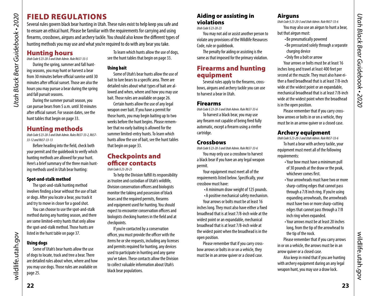# <span id="page-11-1"></span><span id="page-11-0"></span>FIELD REGULATIONS

Several rules govern black bear hunting in Utah. These rules exist to help keep you safe and to ensure an ethical hunt. Please be familiar with the requirements for carrying and using firearms, crossbows, airguns and archery tackle. You should also know the different types of hunting methods you may use and what you're required to do with any bear you take.

# Hunting hours

*Utah Code § 23-20-3 and Utah Admin. Rule R657-33-5*

During the spring, summer and fall hunting seasons, you may hunt or harvest a bear from 30 minutes before official sunrise until 30 minutes after official sunset. Those are also the hours you may pursue a bear during the spring and fall pursuit seasons.

During the summer pursuit season, you can pursue bears from 5 a.m. until 30 minutes after official sunset. For season dates, see the hunt tables that begin on [page 33.](#page-16-1)

# Hunting methods

*Utah Code § 23-20-3 and Utah Admin. Rules R657-33-2, R657- 33-12 and R657-33-13* 

Before heading into the field, check both your permit and the guidebook to verify which hunting methods are allowed for your hunt. Here's a brief summary of the three main hunting methods used in Utah bear hunting:

#### Spot-and-stalk method

The spot-and-stalk hunting method involves finding a bear without the use of bait or dogs. After you locate a bear, you track it and try to move in closer for a good shot.

You can choose to use the spot-and-stalk method during any hunting season, and there are some limited-entry hunts that only allow the spot-and-stalk method. Those hunts are listed in the hunt table on [page 37.](#page-18-2)

# Using dogs

Some of Utah's bear hunts allow the use of dogs to locate, track and tree a bear. There are detailed rules about when, where and how you may use dogs. Those rules are available on [page 25.](#page-12-0)

To learn which hunts allow the use of dogs, see the hunt tables that begin on [page 33](#page-16-1).

# Using bait

Some of Utah's bear hunts allow the use of bait to lure bears to a specific area. There are detailed rules about what types of bait are allowed and when, where and how you may use bait. Those rules are available on [page 26](#page-13-2).

Certain hunts allow the use of any legal weapon over bait. If you have a permit for those hunts, you may begin baiting up to two weeks before the hunt begins. Please remember that no early baiting is allowed for the summer limited-entry hunts. To learn which hunts allow the use of bait, see the hunt tables that begin on [page 33](#page-16-1).

# Checkpoints and officer contacts

*Utah Code § 23-20-25*

To help the Division fulfill its responsibility as trustee and custodian of Utah's wildlife, Division conservation officers and biologists monitor the taking and possession of black bears and the required permits, firearms and equipment used for hunting. You should expect to encounter conservation officers and biologists checking hunters in the field and at checkpoints.

If you're contacted by a conservation officer, you must provide the officer with the items he or she requests, including any licenses and permits required for hunting, any devices used to participate in hunting and any game you've taken. These contacts allow the Division to collect valuable information about Utah's black bear populations.

# Aiding or assisting in violations

*Utah Code § 23-20-23*

You may not aid or assist another person to violate any provisions of the Wildlife Resources Code, rule or guidebook.

The penalty for aiding or assisting is the same as that imposed for the primary violation.

# Firearms and hunting equipment

Several rules apply to the firearms, crossbows, airguns and archery tackle you can use to harvest a bear in Utah.

# Firearms

*Utah Code § 23-20-3 and Utah Admin. Rule R657-33-6*

To harvest a black bear, you may use any firearm not capable of being fired fully automatic, except a firearm using a rimfire cartridge.

# **Crossbows**

*Utah Code § 23-20-3 and Utah Admin. Rule R657-33-6*

You may only use a crossbow to harvest a black bear if you have an any legal weapon permit.

Your equipment must meet all of the requirements listed below. Specifically, your crossbow must have:

- •A minimum draw weight of 125 pounds.
- •A positive mechanical safety mechanism.

Your arrows or bolts must be at least 16 inches long. They must also have either a fixed broadhead that is at least 7/8-inch wide at the widest point or an expandable, mechanical broadhead that is at least 7/8-inch wide at the widest point when the broadhead is in the open position.

Please remember that if you carry crossbow arrows or bolts in or on a vehicle, they must be in an arrow quiver or a closed case.

# **Airguns**

*Utah Code § 23-20-3 and Utah Admin. Rule R657-33-6*

You may also use an airgun to hunt a bear, but that airgun must:

- •Be pneumatically powered
- •Be pressurized solely through a separate charging device
- •Only fire a bolt or arrow

Your arrows or bolts must be at least 16 inches long and travel at least 400 feet per second at the muzzle. They must also have either a fixed broadhead that is at least 7/8-inch wide at the widest point or an expandable, mechanical broadhead that is at least 7/8-inch wide at the widest point when the broadhead is in the open position.

Please remember that if you carry crossbow arrows or bolts in or on a vehicle, they must be in an arrow quiver or a closed case.

# Archery equipment

*Utah Code § 23-20-3 and Utah Admin. Rule R657-33-6*

To hunt a bear with archery tackle, your equipment must meet all of the following requirements:

- •Your bow must have a minimum pull of 30 pounds at the draw or the peak, whichever comes first.
- •Your arrowheads must have two or more sharp-cutting edges that cannot pass through a 7/8 inch ring. If you're using expanding arrowheads, the arrowheads must have two or more sharp-cutting edges that cannot pass through a 7/8 inch ring when expanded.
- •Your arrows must be at least 20 inches long, from the tip of the arrowhead to the tip of the nock.

Please remember that if you carry arrows in or on a vehicle, the arrows must be in an arrow quiver or a closed case.

Also keep in mind that if you are hunting with archery equipment during an any legal weapon hunt, you may use a draw lock.

wildlife.utah.gov

wildlife.utah.gov

wildlife.utah.gov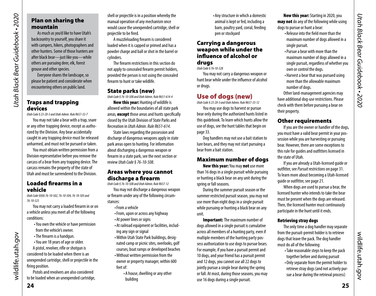# Plan on sharing the mountain

As much as you'd like to have Utah's backcountry to yourself, you share it with campers, hikers, photographers and other hunters. Some of those hunters are after black bear—just like you—while others are pursuing deer, elk, forest grouse and other species.

Everyone shares the landscape, so please be patient and considerate when encountering others on public land.

# Traps and trapping devices

*Utah Black Bear Guidebook • 2020*

Utah Black Bear Guidebook - 2020

*Utah Code § 23-20-3 and Utah Admin. Rule R657-33-7*

You may not take a bear with a trap, snare or any other trapping device, except as authorized by the Division. Any bear accidentally caught in any trapping device must be released unharmed, and must not be pursued or taken.

You must obtain written permission from a Division representative before you remove the carcass of a bear from any trapping device. The carcass remains the property of the state of Utah and must be surrendered to the Division.

#### Loaded firearms in a vehicle

*Utah Code §§§§ 76-10-502, 76-10-504, 76-10-505 and 76-10-523*

You may not carry a loaded firearm in or on a vehicle unless you meet all of the following conditions:

- •You own the vehicle or have permission from the vehicle's owner.
- •The firearm is a handgun.
- •You are 18 years of age or older.

A pistol, revolver, rifle or shotgun is considered to be loaded when there is an unexpended cartridge, shell or projectile in the firing position.

Pistols and revolvers are also considered to be loaded when an unexpended cartridge, shell or projectile is in a position whereby the manual operation of any mechanism once would cause the unexpended cartridge, shell or projectile to be fired.

A muzzleloading firearm is considered loaded when it is capped or primed and has a powder charge and ball or shot in the barrel or cylinders.

The firearm restrictions in this section do not apply to concealed firearm permit holders, provided the person is not using the concealed firearm to hunt or take wildlife.

#### State parks (new)

*Utah Code § 76-10-508 and Utah Admin. Rule R651-614-4*

New this year: Hunting of wildlife is allowed within the boundaries of all state park areas, **except** those areas and hunts specifically closed by the Utah Division of State Parks and Recreation in *Utah Admin. Rule R651-614*.

State laws regarding the possession and discharge of dangerous weapons apply in state park areas open to hunting. For information about discharging a dangerous weapon or firearm in a state park, see the next section or review *Utah Code § 76-10-508*.

#### Areas where you cannot discharge a firearm

*Utah Code § 76-10-508 and Utah Admin. Rule R657-12* You may not discharge a dangerous weapon or firearm under any of the following circum-

•From a vehicle

stances:

- •From, upon or across any highway
- •At power lines or signs
- •At railroad equipment or facilities, including any sign or signal
- •Within Utah State Park buildings, designated camp or picnic sites, overlooks, golf courses, boat ramps or developed beaches
- •Without written permission from the owner or property manager, within 600 feet of:
	- •A house, dwelling or any other building

•Any structure in which a domestic animal is kept or fed, including a barn, poultry yard, corral, feeding pen or stockyard

#### Carrying a dangerous weapon while under the influence of alcohol or druas

*Utah Code § 76-10-528*

You may not carry a dangerous weapon or hunt bear while under the influence of alcohol or drugs.

# <span id="page-12-0"></span>Use of dogs (new)

*Utah Code § 23-20-3 and Utah Admin. Rule R657-33-12*

You may use dogs to harvest or pursue bear only during the authorized hunts listed in this guidebook. To learn which hunts allow the use of dogs, see the hunt tables that begin on [page 33.](#page-16-1)

Dog handlers may not use a bait station to lure bears, and they may not start pursuing a bear from a bait station.

# Maximum number of dogs

New this year: You may not use more than 16 dogs in a single pursuit while pursuing or hunting a black bear on any unit during the spring or fall seasons.

During the summer pursuit season or the summer restricted pursuit season, you may not use more than eight dogs in a single pursuit while pursuing or hunting a black bear on any unit.

**Important:** The maximum number of dogs allowed in a single pursuit is cumulative across all members of a hunting party, even if multiple members of the hunting party possess authorization to use dogs to pursue bears. For example, if you have a pursuit permit and 10 dogs, and your friend has a pursuit permit and 12 dogs, you cannot use all 22 dogs to jointly pursue a single bear during the spring or fall. At most, during those seasons, you may use 16 dogs during a single pursuit.

New this year: Starting in 2020, you **may not** do any of the following while using dogs to pursue or hunt a bear:

- Release into the field more than the maximum number of dogs allowed in a single pursuit.
- •Pursue a bear with more than the maximum number of dogs allowed in a single pursuit, regardless of whether you own or control the dogs.
- •Harvest a bear that was pursued using more than the allowable maximum number of dogs.

Other land-management agencies may have additional dog-use restrictions. Please check with them before pursuing a bear on their property.

# Other requirements

If you are the owner or handler of the dogs, you must have a valid bear permit in your possession while you are harvesting or pursuing bear. However, there are some exceptions to this rule for guides and outfitters licensed in the state of Utah.

If you are already a Utah-licensed guide or outfitter, see *Pursuit restrictions* on [page 31](#page-15-3). To learn more about becoming a Utah-licensed guide or outfitter, see [page 21.](#page-10-1)

When dogs are used to pursue a bear, the licensed hunter who intends to take the bear must be present when the dogs are released. Then, the licensed hunter must continuously participate in the hunt until it ends.

#### Retrieving stray dogs

The only time a dog handler may separate from the pursuit-permit holder is to retrieve dogs that leave the pack. The dog handler must do all of the following:

- •Take reasonable steps to keep the pack together before and during pursuit
- •Only separate from the permit holder to retrieve stray dogs (and not actively pursue a bear during the retrieval process)

wildlife.utah.gov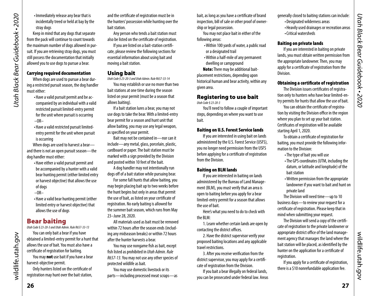<span id="page-13-0"></span>•Immediately release any bear that is incidentally treed or held at bay by the stray dogs

Keep in mind that any dogs that separate from the pack will continue to count towards the maximum number of dogs allowed in pursuit. If you are retrieving stray dogs, you must still possess the documentation that initially allowed you to use dogs to pursue a bear.

#### Carrying required documentation

When dogs are used to pursue a bear during a restricted pursuit season, the dog handler must either:

- •Have a valid pursuit permit and be accompanied by an individual with a valid restricted pursuit limited-entry permit for the unit where pursuit is occurring  $-OR-$
- •Have a valid restricted pursuit limitedentry permit for the unit where pursuit is occurring

When dogs are used to harvest a bear and there is not an open pursuit season—the dog handler must either:

•Have either a valid pursuit permit and be accompanied by a hunter with a valid bear hunting permit (either limited entry or harvest objective) that allows the use of dogs

 $-OR-$ 

•Have a valid bear hunting permit (either limited entry or harvest objective) that allows the use of dogs

# <span id="page-13-2"></span>Bear baiting

*Utah Code § 23-20-3 and Utah Admin. Rule R657-33-13*

You can only bait a bear if you have obtained a limited-entry permit for a hunt that allows the use of bait. You must also have a certificate of registration for baiting.

You may not use bait if you have a bear harvest-objective permit.

Only hunters listed on the certificate of registration may hunt over the bait station, and the certificate of registration must be in the hunters' possession while hunting over the bait station.

Any person who tends a bait station must also be listed on the certificate of registration.

If you are listed on a bait-station certificate, please review the following sections for essential information about using bait and moving a bait station.

#### Using bait

*Utah Code § 23-20-3 and Utah Admin. Rule R657-33-14*

You may establish or use no more than two bait stations at one time during the season listed on your permit (must be a season that allows baiting).

If a bait station lures a bear, you may not use dogs to take the bear. With a limited-entry bear permit for a season and hunt unit that allow baiting, you may use any legal weapon, as specified on your permit.

Bait may not be contained in—nor can it include—any metal, glass, porcelain, plastic, cardboard or paper. The bait station must be marked with a sign provided by the Division and posted within 10 feet of the bait.

A dog handler may not intentionally run dogs off of a bait station while pursuing bear.

For some fall hunts that allow baiting, you may begin placing bait up to two weeks before the hunt begins but only in areas that permit the use of bait, as listed on your certificate of registration. No early baiting is allowed for the summer bait season, which runs from May 23–June 28, 2020.

All materials used as bait must be removed within 72 hours after the season ends (including any midseason breaks) or within 72 hours after the hunter harvests a bear.

You may use nongame fish as bait, except fish listed as prohibited in *Utah Admin. Rule R657-13*. You may not use any other species of protected wildlife as bait.

You may use domestic livestock or its parts—including processed meat scraps—as bait, as long as you have a certificate of brand inspection, bill of sale or other proof of ownership or legal possession.

You may not place bait in either of the following areas:

- •Within 100 yards of water, a public road or a designated trail
- •Within a half-mile of any permanent dwelling or campground
- Note: There may be additional bait-

placement restrictions, depending upon historical human and bear activity, within any given area.

# Registering to use bait

*Utah Code § 23-20-3* 

You'll need to follow a couple of important steps, depending on where you want to use bait.

#### Baiting on U.S. Forest Service lands

If you are interested in using bait on lands administered by the U.S. Forest Service (USFS), you no longer need permission from the USFS before applying for a certificate of registration from the Division.

#### Baiting on BLM lands

If you are interested in baiting on lands administered by the Bureau of Land Management (BLM), you must verify that an area is open to baiting before you apply for a bear limited-entry permit for a season that allows the use of bait.

Here's what you need to do to check with the BLM:

1. Learn whether certain lands are open by contacting the district offices.

2. Have the district supervisor verify your proposed baiting locations and any applicable travel restrictions.

3. After you receive verification from the district supervisor, you may apply for a certificate of registration from the Division.

If you bait a bear illegally on federal lands, you can be prosecuted under federal law. Areas

- generally closed to baiting stations can include:
	- •Designated wilderness areas
	- •Heavily used drainages or recreation areas •Critical watersheds

# Baiting on private lands

If you are interested in baiting on private lands, you must obtain written permission from the appropriate landowner. Then, you may apply for a certificate of registration from the Division.

#### <span id="page-13-1"></span>Obtaining a certificate of registration

The Division issues certificates of registration only to hunters who have bear limited-entry permits for hunts that allow the use of bait.

You can obtain the certificate of registration by visiting the Division office in the region where you plan to set up your bait station. Certificates of registration will be available starting April 1, 2020.

To obtain a certificate of registration for baiting, you must provide the following information to the Division:

- •The type of bait you will use
- •The GPS coordinates (UTM, including the datum, or latitude and longitude) of the bait station
- •Written permission from the appropriate landowner if you want to bait and hunt on private land

The Division will need time—up to 10 business days—to review your request for a certificate of registration. Please keep that in mind when submitting your request.

The Division will send a copy of the certificate of registration to the private landowner or appropriate district office of the land management agency that manages the land where the bait station will be placed, as identified by the hunter on the application for a certificate of registration.

If you apply for a certificate of registration, there is a \$10 nonrefundable application fee.

wildlife.utah.gov

wildlife.utah.gov

**27**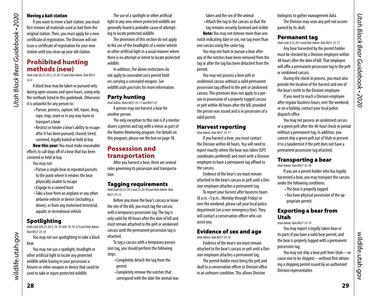# Moving a bait station

*Utah Black Bear Guidebook • 2020*

<span id="page-14-0"></span>Utah Black Bear Guidebook - 2020

If you want to move a bait station, you must first remove all materials used as bait from the original station. Then, you must apply for a new certificate of registration. The Division will not issue a certificate of registration for your new station until you clean up your old station.

# <span id="page-14-1"></span>Prohibited hunting methods (new)

*Utah Code §§ 23-20-3, 23-20-12 and Utah Admin. Rule R657- 33-9*

A black bear may be taken or pursued only during open seasons and open hours, using only the methods listed in this guidebook. Otherwise it is unlawful for any person to:

- •Pursue, possess, capture, kill, injure, drug, rope, trap, snare or in any way harm or transport a bear
- Restrict or hinder a bear's ability to escape after it has been pursued, chased, treed, cornered, legally baited or held at bay

New this year: You must make reasonable efforts to call dogs off of a bear that has been cornered or held at bay.

You may not:

- •Pursue a single bear in repeated pursuits to the point where it renders the bear physically unable to escape
- •Engage in a canned hunt
- •Take a bear from an airplane or any other airborne vehicle or device (including a drone), or from any motorized terrestrial, aquatic or recreational vehicle

# **Spotlighting**

*Utah Code §§§ 23-20-3, 76-10-504, 76-10-523 and Utah Admin. Rule R657-33-10*

You may not use spotlighting to take a black bear.

You may not use a spotlight, headlight or other artificial light to locate any protected wildlife while having in your possession a firearm or other weapon or device that could be used to take or injure protected wildlife.

The use of a spotlight or other artificial light in any area where protected wildlife are generally found is probable cause of attempting to locate protected wildlife.

The provisions of this section do not apply to the use of the headlights of a motor vehicle or other artificial light in a usual manner where there is no attempt or intent to locate protected wildlife.

In addition, the above restrictions do not apply to concealed carry permit holders carrying a concealed weapon. See *[wildlife.utah.gov/rules](http://wildlife.utah.gov/rules)* for more information.

#### Party hunting

*Utah Admin. Rules R657-33-11 and R657-67*

A person may not harvest a bear for another person.

The only exception to this rule is if a mentor shares a permit and tag with a minor as part of the Hunter Mentoring program. For details on this program, please see the box on page [18](#page-9-1).

# Possession and transportation

After you harvest a bear, there are several rules governing its possession and transportation.

# Tagging requirements

*Utah Code §§ 23-20-3 and 23-20-30 and Utah Admin. Rule R657-33-15*

Before you move the bear's carcass or leave the site of the kill, you must tag the carcass with a temporary possession tag. The tag is only valid for 48 hours after the date of kill and must remain attached to the pelt or unskinned carcass until the permanent possession tag is attached.

To tag a carcass with a temporary possession tag, you should perform the following steps:

- •Completely detach the tag from the permit
- •Completely remove the notches that correspond with the date the animal was

taken and the sex of the animal

•Attach the tag to the carcass so that the

tag remains securely fastened and visible Note: You may not remove more than one notch indicating date or sex, nor tag more than one carcass using the same tag.

You may not hunt or pursue a bear after any of the notches have been removed from the tag or after the tag has been detached from the permit.

You may not possess a bear pelt or unskinned carcass without a valid permanent possession tag affixed to the pelt or unskinned carcass. This provision does not apply to a person in possession of a properly tagged carcass or pelt within 48 hours after the kill, provided the person was issued and is in possession of a valid permit.

#### Harvest reporting *Utah Admin. Rule R657-33-17*

If you harvest a bear, you must contact the Division within 48 hours. You will need to report exactly where the bear was taken (GPS coordinates preferred) and meet with a Division employee to have a permanent tag affixed to the carcass.

Evidence of the bear's sex must remain attached to the bear's carcass or pelt until a Division employee attaches a permanent tag.

To report your harvest after business hours (8 a.m.–5 p.m., Monday through Friday) or over the weekend, please call your local police department (on a non-emergency line). They will contact a conservation officer who can assist you.

# Evidence of sex and age

*Utah Admin. Rule R657-33-16*

Evidence of the bear's sex must remain attached to the bear's carcass or pelt until a Division employee attaches a permanent tag.

The permit holder must bring the pelt and skull to a conservation officer or Division office in an unfrozen condition. This allows Division

biologists to gather management data. The Division may seize any pelt not accompanied by its skull.

#### Permanent tag

*Utah Code § 23-20-3 and Utah Admin. Rule R657-33-17*

Any bear harvested by the permit holder must be checked by a Division employee within 48 hours after the date of kill. That employee will affix a permanent possession tag to the pelt or unskinned carcass.

During the check-in process, you must also provide the location of the harvest and one of the bear's teeth to the Division employee.

If you need to reach a Division employee after regular business hours, over the weekend, or on a holiday, contact your local police dispatch office.

You may not possess an unskinned carcass or a green pelt after the 48-hour check-in period without a permanent tag. In addition, you cannot ship a green pelt out of Utah or present it to a taxidermist if the pelt does not have a permanent possession tag attached.

# Transporting a bear

*Utah Admin. Rule R657-33-18*

If you are a permit holder who has legally harvested a bear, you may transport the carcass under the following conditions:

- •The bear is properly tagged.
- •You have physical possession of the appropriate permit.

# Exporting a bear from Utah

*Utah Admin. Rule R657-33-19*

You may export a legally taken bear or its parts if you have a valid bear permit, and the bear is properly tagged with a permanent possession tag.

You may not ship a bear pelt from Utah—or cause one to be shipped—without first obtaining a shipping permit issued by an authorized Division representative.

wildlife.utah.gov

wildlife.utah.gov

wildlife.utah.gov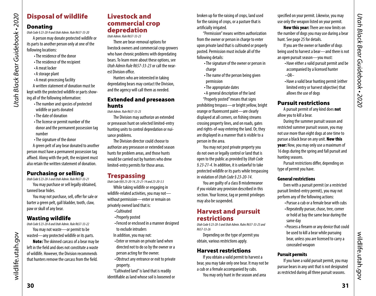# Disposal of wildlife

# Donating

*Utah Black Bear Guidebook • 2020*

<span id="page-15-0"></span>Utah Black Bear Guidebook • 2020

*Utah Code § 23-20-9 and Utah Admin. Rule R657-33-20*

A person may donate protected wildlife or its parts to another person only at one of the following locations:

- •The residence of the donor
- •The residence of the recipient
- •A meat locker
- •A storage plant
- •A meat-processing facility

A written statement of donation must be kept with the protected wildlife or parts showing all of the following information:

- •The number and species of protected wildlife or parts donated
- •The date of donation
- •The license or permit number of the donor and the permanent possession tag number
- •The signature of the donor

A green pelt of any bear donated to another person must have a permanent possession tag affixed. Along with the pelt, the recipient must also retain the written statement of donation.

# Purchasing or selling

*Utah Code § 23-20-3 and Utah Admin. Rule R657-33-21*

You may purchase or sell legally obtained, tanned bear hides.

You may not purchase, sell, offer for sale or barter a green pelt, gall bladder, tooth, claw, paw or skull of any bear.

# Wasting wildlife

*Utah Code § 23-20-8 and Utah Admin. Rule R657-33-22* You may not waste—or permit to be wasted—any protected wildlife or its parts.

Note: The skinned carcass of a bear may be left in the field and does not constitute a waste of wildlife. However, the Division recommends that hunters remove the carcass from the field.

# Livestock and commercial crop depredation

*Utah Admin. Rule R657-33-23*

There are bear-removal options for livestock owners and commercial crop growers who have chronic problems with depredating bears. To learn more about these options, see *Utah Admin Rule R657-33-23* or call the nearest Division office.

Hunters who are interested in taking depredating bears may contact the Division, and the agency will call them as needed.

# Extended and preseason hunts

*Utah Admin. Rule R657-33-25*

The Division may authorize an extended or preseason hunt on selected limited-entry hunting units to control depredation or nuisance problems.

The Division director could choose to authorize any preseason or extended season hunts for problem areas, and those hunts would be carried out by hunters who drew limited-entry permits for those areas.

# <span id="page-15-2"></span>**Trespassing**

*Utah Code §§§ 23-20-14, 23-21-14 and 23-20-3.5*

While taking wildlife or engaging in wildlife-related activities, you may not without permission—enter or remain on privately owned land that is:

- •Cultivated
- •Properly posted
- •Fenced or enclosed in a manner designed to exclude intruders
- In addition, you may not:
- •Enter or remain on private land when directed not to do so by the owner or a person acting for the owner.
- •Obstruct any entrance or exit to private property.

"Cultivated land" is land that is readily identifiable as land whose soil is loosened or broken up for the raising of crops, land used for the raising of crops, or a pasture that is artificially irrigated.

"Permission" means written authorization from the owner or person in charge to enter upon private land that is cultivated or properly posted. Permission must include all of the following details:

- •The signature of the owner or person in charge
- •The name of the person being given permission
- •The appropriate dates
- •A general description of the land
- "Properly posted" means that signs

prohibiting trespass—or bright yellow, bright orange or fluorescent paint—are clearly displayed at all corners, on fishing streams crossing property lines, and on roads, gates and rights-of-way entering the land. Or, they are displayed in a manner that is visible to a person in the area.

You may not post private property you do not own or legally control or land that is open to the public as provided by *Utah Code § 23-21-4*. In addition, it is unlawful to take protected wildlife or its parts while trespassing in violation of *Utah Code § 23-20-14*.

You are guilty of a class B misdemeanor if you violate any provision described in this section. Your license, tag or permit privileges may also be suspended.

# <span id="page-15-1"></span>Harvest and pursuit restrictions

*Utah Code § 23-20-3 and Utah Admin. Rules R657-33-25 and R657-33-26* 

Depending on the type of permit you obtain, various restrictions apply.

# Harvest restrictions

If you obtain a valid permit to harvest a bear, you may take only one bear. It may not be a cub or a female accompanied by cubs.

You may only hunt in the season and area

specified on your permit. Likewise, you may use only the weapon listed on your permit.

New this year: There are now limits on the number of dogs you may use during a bear hunt. See page 25 for details.

If you are the owner or handler of dogs being used to harvest a bear—and there is not an open pursuit season—you must:

- •Have either a valid pursuit permit and be accompanied by a licensed hunter  $-OR-$
- •Have a valid bear hunting permit (either limited entry or harvest objective) that allows the use of dogs

# <span id="page-15-3"></span>Pursuit restrictions

A pursuit permit of any kind does not allow you to kill a bear.

During the summer pursuit season and restricted summer pursuit season, you may not use more than eight dogs at one time to pursue a black bear on any unit. New this year: Now, you may only use a maximum of 16 dogs during the spring and fall pursuit and hunting seasons.

Pursuit restrictions differ, depending on type of permit you have.

# General restrictions

Even with a pursuit permit (or a restricted pursuit limited-entry permit), you may not perform any of the following actions:

- •Pursue a cub or a female bear with cubs • Repeatedly pursue, chase, tree, corner or hold at bay the same bear during the same day
- •Possess a firearm or any device that could be used to kill a bear while pursuing bear, unless you are licensed to carry a concealed weapon

# Pursuit permits

If you have a valid pursuit permit, you may pursue bears in any unit that is not designated as restricted during all three pursuit seasons.

wildlife.utah.gov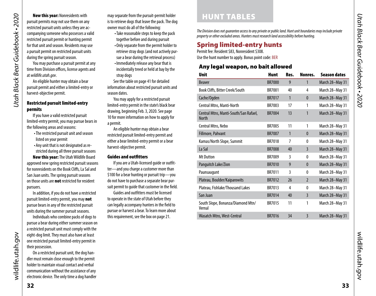<span id="page-16-0"></span>New this year: Nonresidents with pursuit permits may not use them on any restricted pursuit units unless they are accompanying someone who possesses a valid restricted pursuit permit or hunting permit for that unit and season. Residents may use a pursuit permit on restricted pursuit units during the spring pursuit season.

You may purchase a pursuit permit at any time from Division offices, license agents and at *[wildlife.utah.gov](http://wildlife.utah.gov)*.

An eligible hunter may obtain a bear pursuit permit and either a limited-entry or harvest-objective permit.

#### <span id="page-16-3"></span>Restricted pursuit limited-entry permits

If you have a valid restricted pursuit limited-entry permit, you may pursue bears in the following areas and seasons:

- •The restricted pursuit unit and season listed on your permit
- •Any unit that is not designated as restricted during all three pursuit seasons

New this year: The Utah Wildlife Board approved new spring restricted pursuit seasons for nonresidents on the Book Cliffs, La Sal and San Juan units. The spring pursuit seasons on those units are **not** restricted for resident pursuers.

In addition, if you do not have a restricted pursuit limited-entry permit, you may not pursue bears in any of the restricted pursuit units during the summer pursuit seasons.

Individuals who combine packs of dogs to pursue a bear during either summer season on a restricted pursuit unit must comply with the eight-dog limit. They must also have at least one restricted pursuit limited-entry permit in their possession.

On a restricted pursuit unit, the dog handler must remain close enough to the permit holder to maintain visual contact and verbal communication without the assistance of any electronic device. The only time a dog handler

may separate from the pursuit-permit holder is to retrieve dogs that leave the pack. The dog owner must do all of the following:

- •Take reasonable steps to keep the pack together before and during pursuit
- •Only separate from the permit holder to retrieve stray dogs (and not actively pursue a bear during the retrieval process)
- •Immediately release any bear that is incidentally treed or held at bay by the stray dogs

See the table on [page 41](#page-20-1) for detailed information about restricted pursuit units and season dates.

You may apply for a restricted pursuit limited-entry permit in the state's black bear drawing, beginning Feb. 3, 2020. See [page](#page-5-3)  [10](#page-5-3) for more information on how to apply for a permit.

An eligible hunter may obtain a bear restricted pursuit limited-entry permit and either a bear limited-entry permit or a bear harvest-objective permit.

#### Guides and outfitters

If you are a Utah-licensed guide or outfitter—and you charge a customer more than \$100 for a bear hunting or pursuit trip—you do not have to purchase a separate bear pursuit permit to guide that customer in the field.

Guides and outfitters must be licensed to operate in the state of Utah before they can legally accompany hunters in the field to pursue or harvest a bear. To learn more about this requirement, see the box on page [21.](#page-10-1)

# <span id="page-16-1"></span>HUNT TABLES

*The Division does not guarantee access to any private or public land. Hunt unit boundaries may include private property or other excluded areas. Hunters must research land accessibility before hunting.*

# <span id="page-16-2"></span>Spring limited-entry hunts

Permit fee: Resident \$83, Nonresident \$308. Use the hunt number to apply. Bonus point code: BER

# Any legal weapon, no bait allowed

| <b>Unit</b>                                           | <b>Hunt</b>   | Res. | Nonres.        | <b>Season dates</b> |
|-------------------------------------------------------|---------------|------|----------------|---------------------|
| <b>Beaver</b>                                         | <b>BR7000</b> | 9    | 1              | March 28-May 31     |
| Book Cliffs, Bitter Creek/South                       | <b>BR7001</b> | 40   | 4              | March 28-May 31     |
| Cache/Ogden                                           | <b>BR7017</b> | 1    | $\mathbf{0}$   | March 28-May 31     |
| Central Mtns, Manti-North                             | BR7003        | 17   | 1              | March 28-May 31     |
| Central Mtns, Manti-South/San Rafael,<br><b>North</b> | <b>BR7004</b> | 13   | 1              | March 28-May 31     |
| Central Mtns, Nebo                                    | <b>BR7005</b> | 11   | 1              | March 28-May 31     |
| Fillmore, Pahvant                                     | <b>BR7007</b> | 1    | $\mathbf{0}$   | March 28-May 31     |
| Kamas/North Slope, Summit                             | <b>BR7018</b> | 7    | 0              | March 28-May 31     |
| La Sal                                                | <b>BR7008</b> | 40   | 3              | March 28-May 31     |
| <b>Mt Dutton</b>                                      | BR7009        | 3    | 0              | March 28-May 31     |
| Panguitch Lake/Zion                                   | <b>BR7010</b> | 9    | $\mathbf{0}$   | March 28-May 31     |
| Paunsaugunt                                           | <b>BR7011</b> | 3    | 0              | March 28-May 31     |
| Plateau, Boulder/Kaiparowits                          | <b>BR7012</b> | 26   | $\overline{2}$ | March 28-May 31     |
| Plateau, Fishlake/Thousand Lakes                      | BR7013        | 4    | 0              | March 28-May 31     |
| San Juan                                              | <b>BR7014</b> | 40   | $\overline{3}$ | March 28-May 31     |
| South Slope, Bonanza/Diamond Mtn/<br>Vernal           | BR7015        | 11   | 1              | March 28-May 31     |
| Wasatch Mtns, West-Central                            | <b>BR7016</b> | 34   | 3              | March 28-May 31     |

wildlife.utah.gov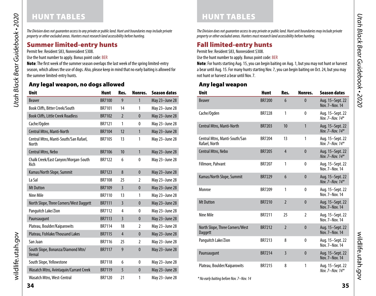# HUNT TABLES

Utah Black Bear Guidebook • 2020 *Utah Black Bear Guidebook • 2020*

*The Division does not guarantee access to any private or public land. Hunt unit boundaries may include private property or other excluded areas. Hunters must research land accessibility before hunting.*

# Summer limited-entry hunts

Permit fee: Resident \$83, Nonresident \$308.

Use the hunt number to apply. Bonus point code: BER

Note: The first week of the summer season overlaps the last week of the spring limited-entry season, which allows the use of dogs. Also, please keep in mind that no early baiting is allowed for the summer limited-entry hunts.

# Any legal weapon, no dogs allowed

| <b>Unit</b>                                           | <b>Hunt</b>   | Res.           | Nonres.        | <b>Season dates</b> |
|-------------------------------------------------------|---------------|----------------|----------------|---------------------|
| <b>Beaver</b>                                         | <b>BR7100</b> | 9              | $\mathbf{1}$   | May 23-June 28      |
| Book Cliffs, Bitter Creek/South                       | BR7101        | 14             | 1              | May 23-June 28      |
| <b>Book Cliffs, Little Creek Roadless</b>             | <b>BR7102</b> | $\overline{2}$ | $\mathbf{0}$   | May 23-June 28      |
| Cache/Ogden                                           | <b>BR7121</b> | 1              | $\mathbf{0}$   | May 23-June 28      |
| Central Mtns, Manti-North                             | <b>BR7104</b> | 12             | $\mathbf{1}$   | May 23-June 28      |
| Central Mtns, Manti-South/San Rafael,<br><b>North</b> | <b>BR7105</b> | 13             | 1              | May 23-June 28      |
| <b>Central Mtns, Nebo</b>                             | <b>BR7106</b> | 10             | $\mathbf{1}$   | May 23-June 28      |
| Chalk Creek/East Canyon/Morgan-South<br>Rich          | <b>BR7122</b> | 6              | $\mathbf{0}$   | May 23-June 28      |
| Kamas/North Slope, Summit                             | <b>BR7123</b> | 8              | $\mathbf{0}$   | May 23-June 28      |
| La Sal                                                | <b>BR7108</b> | 25             | 2              | May 23-June 28      |
| <b>Mt Dutton</b>                                      | <b>BR7109</b> | $\overline{3}$ | $\mathbf{0}$   | May 23-June 28      |
| Nine Mile                                             | <b>BR7110</b> | 13             | 1              | May 23-June 28      |
| North Slope, Three Corners/West Daggett               | <b>BR7111</b> | $\overline{3}$ | $\mathbf{0}$   | May 23-June 28      |
| Panguitch Lake/Zion                                   | <b>BR7112</b> | 4              | 0              | May 23-June 28      |
| Paunsaugunt                                           | <b>BR7113</b> | $\overline{3}$ | $\bf{0}$       | May 23-June 28      |
| Plateau, Boulder/Kaiparowits                          | <b>BR7114</b> | 18             | 2              | May 23-June 28      |
| Plateau, Fishlake/Thousand Lakes                      | <b>BR7115</b> | $\overline{4}$ | $\mathbf{0}$   | May 23-June 28      |
| San Juan                                              | <b>BR7116</b> | 25             | $\overline{2}$ | May 23-June 28      |
| South Slope, Bonanza/Diamond Mtn/<br>Vernal           | <b>BR7117</b> | 9              | $\mathbf{0}$   | May 23-June 28      |
| South Slope, Yellowstone                              | <b>BR7118</b> | 6              | 0              | May 23-June 28      |
| Wasatch Mtns, Avintaquin/Currant Creek                | <b>BR7119</b> | 5              | $\bf{0}$       | May 23-June 28      |
| Wasatch Mtns, West-Central                            | <b>BR7120</b> | 21             | 1              | May 23-June 28      |

*The Division does not guarantee access to any private or public land. Hunt unit boundaries may include private property or other excluded areas. Hunters must research land accessibility before hunting.*

# Fall limited-entry hunts

Permit fee: Resident \$83, Nonresident \$308.

Use the hunt number to apply. Bonus point code: BER

Note: For hunts starting Aug. 15, you can begin baiting on Aug. 1, but you may not hunt or harvest a bear until Aug. 15. For many hunts starting Nov. 7, you can begin baiting on Oct. 24, but you may not hunt or harvest a bear until Nov. 7.

# Any legal weapon

| <b>Unit</b>                                    | <b>Hunt</b>   | Res.            | Nonres.        | <b>Season dates</b>                     |
|------------------------------------------------|---------------|-----------------|----------------|-----------------------------------------|
| <b>Beaver</b>                                  | <b>BR7200</b> | $6\overline{6}$ | $\mathbf{0}$   | Aug. 15-Sept. 22<br>Nov. 7-Nov. 14      |
| Cache/Ogden                                    | <b>BR7228</b> | 1               | $\mathbf{0}$   | Aug. 15-Sept. 22<br>Nov. $7 - Nov. 14*$ |
| Central Mtns, Manti-North                      | <b>BR7203</b> | 10              | $\mathbf{1}$   | Aug. 15-Sept. 22<br>Nov. 7-Nov. 14*     |
| Central Mtns, Manti-South/San<br>Rafael, North | BR7204        | 13              | 1              | Aug. 15-Sept. 22<br>Nov 7-Nov $14*$     |
| Central Mtns, Nebo                             | <b>BR7205</b> | $\overline{4}$  | $\mathbf{0}$   | Aug. 15-Sept. 22<br>Nov. 7-Nov. $14*$   |
| Fillmore, Pahvant                              | <b>BR7207</b> | 1               | 0              | Aug. 15-Sept. 22<br>Nov. 7-Nov. 14      |
| Kamas/North Slope, Summit                      | <b>BR7229</b> | 6               | $\mathbf{0}$   | Aug. 15-Sept. 22<br>Nov. 7-Nov. $14*$   |
| Monroe                                         | <b>BR7209</b> | 1               | $\mathbf{0}$   | Aug. 15-Sept. 22<br>Nov. 7-Nov. 14      |
| <b>Mt Dutton</b>                               | <b>BR7210</b> | $\overline{2}$  | $\mathbf{0}$   | Aug. 15-Sept. 22<br>Nov. 7-Nov. 14      |
| Nine Mile                                      | <b>BR7211</b> | 25              | $\mathfrak{p}$ | Aug. 15-Sept. 22<br>Nov. 7-Nov. 14      |
| North Slope, Three Corners/West<br>Daggett     | <b>BR7212</b> | $\overline{2}$  | $\mathbf{0}$   | Aug. 15-Sept. 22<br>Nov. 7-Nov. 14      |
| Panguitch Lake/Zion                            | <b>BR7213</b> | 8               | $\mathbf{0}$   | Aug. 15-Sept. 22<br>Nov. 7-Nov. 14      |
| Paunsaugunt                                    | <b>BR7214</b> | $\overline{3}$  | $\mathbf{0}$   | Aug. 15-Sept. 22<br>Nov. 7-Nov. 14      |
| Plateau, Boulder/Kaiparowits                   | <b>BR7215</b> | 8               | 1              | Aug. 15-Sept. 22<br>Nov. 7-Nov. $14*$   |

*\* No early baiting before Nov. 7–Nov. 14*

wildlife.utah.gov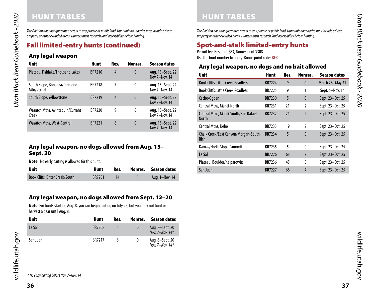# HUNT TABLES

*The Division does not guarantee access to any private or public land. Hunt unit boundaries may include private property or other excluded areas. Hunters must research land accessibility before hunting.*

# <span id="page-18-0"></span>Fall limited-entry hunts (continued)

# Any legal weapon

*Utah Black Bear Guidebook • 2020*

Utah Black Bear Guidebook • 2020

| <b>Unit</b>                                | <b>Hunt</b>   | Res. | Nonres.  | <b>Season dates</b>               |
|--------------------------------------------|---------------|------|----------|-----------------------------------|
| Plateau, Fishlake/Thousand Lakes           | <b>BR7216</b> | 4    | 0        | Aug. 15–Sept. 22<br>Nov 7-Nov. 14 |
| South Slope, Bonanza/Diamond<br>Mtn/Vernal | <b>BR7218</b> | 7    | 0        | Aug. 15–Sept. 22<br>Nov 7-Nov. 14 |
| South Slope, Yellowstone                   | <b>BR7219</b> | 4    | $\bf{0}$ | Aug. 15–Sept. 22<br>Nov 7-Nov. 14 |
| Wasatch Mtns, Avintaguin/Currant<br>Creek  | <b>BR7220</b> | 9    | 0        | Aug. 15-Sept. 22<br>Nov 7-Nov. 14 |
| Wasatch Mtns, West-Central                 | <b>BR7221</b> | 8    | $\bf{0}$ | Aug. 15-Sept. 22<br>Nov 7-Nov. 14 |

# <span id="page-18-1"></span>Any legal weapon, no dogs allowed from Aug. 15– Sept. 30

Note: No early baiting is allowed for this hunt.

| <b>Unit</b>                     | Hunt          | Res. | Nonres. Season dates |
|---------------------------------|---------------|------|----------------------|
| Book Cliffs, Bitter Creek/South | <b>BR7201</b> |      | Aug. 1-Nov. 14       |

# Any legal weapon, no dogs allowed from Sept. 12–20

Note: For hunts starting Aug. 8, you can begin baiting on July 25, but you may not hunt or harvest a bear until Aug. 8.

| <b>Unit</b> | Hunt          | Res. | Nonres.  | Season dates                         |
|-------------|---------------|------|----------|--------------------------------------|
| La Sal      | <b>BR7208</b> | h    | $\Omega$ | Aug. 8–Sept. 20<br>Nov. 7-Nov. $14*$ |
| San Juan    | BR7217        | h    | 0        | Aug. 8-Sept. 20<br>Nov. 7-Nov. $14*$ |

*The Division does not guarantee access to any private or public land. Hunt unit boundaries may include private property or other excluded areas. Hunters must research land accessibility before hunting.*

# <span id="page-18-2"></span>Spot-and-stalk limited-entry hunts

Permit fee: Resident \$83, Nonresident \$308.

HUNT TABLES

Use the hunt number to apply. Bonus point code: BER

# Any legal weapon, no dogs and no bait allowed

| <b>Unit</b>                                    | <b>Hunt</b>   | Res. | Nonres.        | <b>Season dates</b> |
|------------------------------------------------|---------------|------|----------------|---------------------|
| <b>Book Cliffs, Little Creek Roadless</b>      | <b>BR7224</b> | 9    | $\mathbf{0}$   | March 28-May 31     |
| <b>Book Cliffs, Little Creek Roadless</b>      | <b>BR7225</b> | 9    | 1              | Sept. 5-Nov. 14     |
| Cache/Ogden                                    | <b>BR7230</b> | 5    | $\mathbf{0}$   | Sept. 23-Oct. 25    |
| Central Mtns, Manti-North                      | <b>BR7231</b> | 21   | $\mathfrak{p}$ | Sept. 23-Oct. 25    |
| Central Mtns, Manti-South/San Rafael,<br>North | <b>BR7232</b> | 21   | $\overline{2}$ | Sept. 23-Oct. 25    |
| Central Mtns, Nebo                             | BR7233        | 19   | $\mathfrak{p}$ | Sept. 23-Oct. 25    |
| Chalk Creek/East Canyon/Morgan-South<br>Rich   | <b>BR7234</b> | 5    | $\mathbf{0}$   | Sept. 23-Oct. 25    |
| Kamas/North Slope, Summit                      | <b>BR7235</b> | 5    | $\theta$       | Sept. 23-Oct. 25    |
| La Sal                                         | <b>BR7226</b> | 68   | $\overline{7}$ | Sept. 23-Oct. 25    |
| Plateau, Boulder/Kaiparowits                   | BR7236        | 45   | 5              | Sept. 23-Oct. 25    |
| San Juan                                       | <b>BR7227</b> | 68   | 7              | Sept. 23-Oct. 25    |

wildlife.utah.gov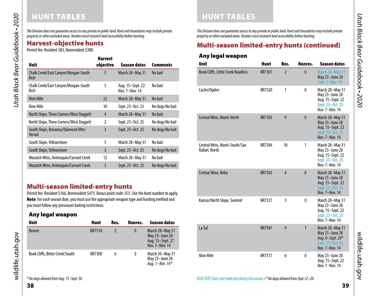*The Division does not guarantee access to any private or public land. Hunt unit boundaries may include private property or other excluded areas. Hunters must research land accessibility before hunting.*

|                                              | <b>Harvest</b> |                                    |                 |
|----------------------------------------------|----------------|------------------------------------|-----------------|
| <b>Unit</b>                                  | objective      | Season dates                       | <b>Comments</b> |
| Chalk Creek/East Canyon/Morgan-South<br>Rich | 5              | March 28-May 31                    | No bait         |
| Chalk Creek/East Canyon/Morgan-South<br>Rich | 3              | Aug. 15-Sept. 22<br>Nov. 7-Nov. 14 | No bait         |
| Nine Mile                                    | 22             | March 28-May 31                    | No bait         |
| Nine Mile                                    | 10             | Sept. 23-Oct. 25                   | No dogs/No bait |
| North Slope, Three Corners/West Daggett      | 4              | March 28-May 31                    | No bait         |
| North Slope, Three Corners/West Daggett      | $\overline{2}$ | Sept. 23-Oct. 25                   | No dogs/No bait |
| South Slope, Bonanza/Diamond Mtn/<br>Vernal  | 3              | Sept. 23-Oct. 25                   | No dogs/No bait |
| South Slope, Yellowstone                     | 5              | March 28-May 31                    | No bait         |
| South Slope, Yellowstone                     | $\overline{3}$ | Sept. 23-Oct. 25                   | No dogs/No bait |
| Wasatch Mtns, Avintaguin/Currant Creek       | 12             | March 28-May 31                    | No bait         |
| Wasatch Mtns, Avintaquin/Currant Creek       | 3              | Sept. 23-Oct. 25                   | No dogs/No bait |

# Multi-season limited-entry hunts

Permit fee: Resident \$166, Nonresident \$475. Bonus point code: BER. Use the hunt number to apply. Note: For each season date, you must use the appropriate weapon type and hunting method and you must follow any preseason baiting restrictions.

# Any legal weapon

| <b>Unit</b>                     | <b>Hunt</b>   | Res. | Nonres.  | <b>Season dates</b>                                                     |
|---------------------------------|---------------|------|----------|-------------------------------------------------------------------------|
| <b>Beaver</b>                   | <b>BR7318</b> |      | $\bf{0}$ | March 28-May 31<br>May 23-June 28<br>Aug. 15-Sept. 27<br>Nov. 7-Nov. 14 |
| Book Cliffs, Bitter Creek/South | <b>BR7300</b> | 6    | $\bf{0}$ | March 30-May 31<br>May 23-June 28<br>Aug. 1-Nov. $14*$                  |

*The Division does not guarantee access to any private or public land. Hunt unit boundaries may include private property or other excluded areas. Hunters must research land accessibility before hunting.*

# <span id="page-19-0"></span>Harvest-objective hunts Multi-season limited-entry hunts (continued) Permit fee: Resident \$83, Nonresident \$308.

# Any legal weapon

HUNT TABLES

| <b>Unit</b>                                    | <b>Hunt</b>   | Res.           | Nonres.      | <b>Season dates</b>                                                                         |
|------------------------------------------------|---------------|----------------|--------------|---------------------------------------------------------------------------------------------|
| <b>Book Cliffs, Little Creek Roadless</b>      | <b>BR7301</b> | $\overline{2}$ | $\mathbf{0}$ | March 28-May 31<br>May 23-June 28<br>Sept. 5-Nov. 14                                        |
| Cache/Ogden                                    | BR7320        | 1              | $\mathbf{0}$ | March 28–May 31<br>May 23-June 28<br>Aug. 15-Sept. 22<br>Sept. 23-Oct. 25<br>Nov. 7-Nov. 14 |
| Central Mtns, Manti-North                      | BR7303        | 9              | $\mathbf{0}$ | March 28-May 31<br>May 23-June 28<br>Aug. 15-Sept. 22<br>Sept. 23-Oct. 25<br>Nov. 7-Nov. 14 |
| Central Mtns, Manti-South/San<br>Rafael, North | BR7304        | 10             | 1            | March 28–May 31<br>May 23-June 28<br>Aug. 15-Sept. 22<br>Sept. 23-Oct. 25<br>Nov. 7-Nov. 14 |
| Central Mtns, Nebo                             | <b>BR7305</b> | $\overline{4}$ | $\mathbf{0}$ | March 28-May 31<br>May 23-June 28<br>Aug. 15-Sept. 22<br>Sept. 23-Oct. 25<br>Nov. 7-Nov. 14 |
| Kamas/North Slope, Summit                      | BR7321        | 3              | $\mathbf{0}$ | March 28–May 31<br>May 23-June 28<br>Aug. 15–Sept. 22<br>Sept. 23-Oct. 25<br>Nov. 7-Nov. 14 |
| La Sal                                         | <b>BR7307</b> | 9              | 1            | March 28-May 31<br>May 23-June 28<br>Aug. 8-Sept. 20*<br>Sept. 23-Oct. 25<br>Nov. 7-Nov. 14 |
| Nine Mile                                      | <b>BR7317</b> | 6              | $\mathbf{0}$ | May 23–June 28<br>Aug. 15–Sept. 22<br>Nov. 7-Nov. 14                                        |

**38**

wildlife.utah.gov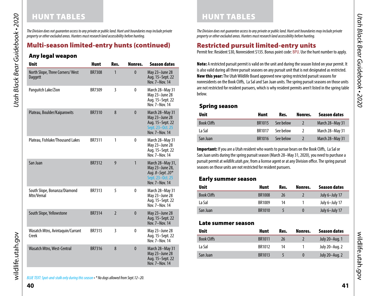# HUNT TABLES HUNT TABLES

*The Division does not guarantee access to any private or public land. Hunt unit boundaries may include private property or other excluded areas. Hunters must research land accessibility before hunting.*

# Multi-season limited-entry hunts (continued)

# Any legal weapon

*Utah Black Bear Guidebook • 2020*

<span id="page-20-0"></span>Utah Black Bear Guidebook • 2020

| <b>Unit</b>                                | <b>Hunt</b>   | Res.           | Nonres.      | <b>Season dates</b>                                                                           |
|--------------------------------------------|---------------|----------------|--------------|-----------------------------------------------------------------------------------------------|
| North Slope, Three Corners/West<br>Daggett | <b>BR7308</b> | 1              | $\mathbf{0}$ | May 23-June 28<br>Aug. 15–Sept. 22<br>Nov. 7-Nov. 14                                          |
| Panguitch Lake/Zion                        | BR7309        | 3              | $\mathbf{0}$ | March 28-May 31<br>May 23-June 28<br>Aug. 15-Sept. 22<br>Nov. 7-Nov. 14                       |
| Plateau, Boulder/Kaiparowits               | <b>BR7310</b> | 8              | $\mathbf{0}$ | March 28-May 31<br>May 23-June 28<br>Aug. 15-Sept. 22<br>Sept. 23–0ct. 25<br>Nov. 7-Nov. 14   |
| Plateau, Fishlake/Thousand Lakes           | BR7311        | 1              | $\mathbf{0}$ | March 28-May 31<br>May 23-June 28<br>Aug. 15-Sept. 22<br>Nov. 7-Nov. 14                       |
| San Juan                                   | <b>BR7312</b> | 9              | $\mathbf{1}$ | March 28-May 31,<br>May 23-June 28,<br>Aug. 8-Sept. 20*<br>Sept. 23-Oct. 25<br>Nov. 7-Nov. 14 |
| South Slope, Bonanza/Diamond<br>Mtn/Vernal | BR7313        | 5              | $\mathbf{0}$ | March 28-May 31<br>May 23-June 28<br>Aug. 15-Sept. 22<br>Nov. 7-Nov. 14                       |
| South Slope, Yellowstone                   | <b>BR7314</b> | $\overline{2}$ | $\mathbf{0}$ | May 23-June 28<br>Aug. 15-Sept. 22<br>Nov. 7-Nov. 14                                          |
| Wasatch Mtns, Avintaquin/Currant<br>Creek  | <b>BR7315</b> | 3              | $\mathbf{0}$ | May 23-June 28<br>Aug. 15–Sept. 22<br>Nov. 7-Nov. 14                                          |
| Wasatch Mtns, West-Central                 | <b>BR7316</b> | 8              | $\mathbf{0}$ | March 28-May 31<br>May 23-June 28<br>Aug. 15-Sept. 22<br>Nov. 7-Nov. 14                       |

*The Division does not guarantee access to any private or public land. Hunt unit boundaries may include private property or other excluded areas. Hunters must research land accessibility before hunting.*

# <span id="page-20-1"></span>Restricted pursuit limited-entry units

Permit fee: Resident \$30, Nonresident \$135. Bonus point code: BPU. Use the hunt number to apply.

Note: A restricted pursuit permit is valid on the unit and during the season listed on your permit. It is also valid during all three pursuit seasons on any pursuit unit that is not designated as restricted. New this year: The Utah Wildlife Board approved new spring restricted pursuit seasons for nonresidents on the Book Cliffs, La Sal and San Juan units. The spring pursuit seasons on those units are not restricted for resident pursuers, which is why resident permits aren't listed in the spring table below.

# Spring season

| <b>Unit</b>        | Hunt          | Res.      | Nonres. | Season dates    |
|--------------------|---------------|-----------|---------|-----------------|
| <b>Book Cliffs</b> | <b>BR1015</b> | See below |         | March 28-May 31 |
| La Sal             | <b>BR1017</b> | See below |         | March 28-May 31 |
| San Juan           | <b>BR1016</b> | See below |         | March 28-May 31 |

Important: If you are a Utah resident who wants to pursue bears on the Book Cliffs, La Sal or San Juan units during the spring pursuit season (March 28–May 31, 2020), you need to purchase a pursuit permit at *wildlife.utah.gov*, from a license agent or at any Division office. The spring pursuit seasons on those units are not restricted for resident pursuers.

# Early summer season

| <b>Unit</b>        | Hunt          | Res. | Nonres.  | Season dates   |  |
|--------------------|---------------|------|----------|----------------|--|
| <b>Book Cliffs</b> | <b>BR1008</b> | 26   |          | July 6-July 17 |  |
| La Sal             | BR1009        | 14   |          | July 6-July 17 |  |
| San Juan           | <b>BR1010</b> |      | $\bf{0}$ | July 6-July 17 |  |

#### Late summer season

| <b>Unit</b>        | Hunt          | Res.           | Nonres.  | Season dates   |
|--------------------|---------------|----------------|----------|----------------|
| <b>Book Cliffs</b> | <b>BR1011</b> | 26             |          | July 20-Aug. 1 |
| La Sal             | BR1012        | 14             |          | July 20–Aug. 2 |
| San Juan           | BR1013        | $\overline{a}$ | $\Omega$ | July 20-Aug. 2 |

wildlife.utah.gov

wildlife.utah.gov

wildlife.utah.gov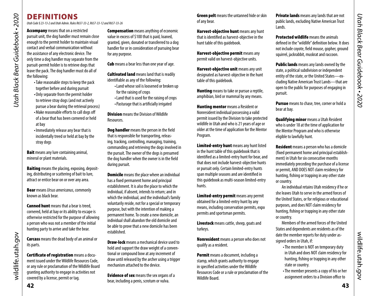# DEFINITIONS

*Utah Code § 23-13-2 and Utah Admin. Rules R657-33-2, R657-33-12 and R657-33-26* 

Utah Black Bear Guidebook - 2020 *Utah Black Bear Guidebook • 2020*

**Accompany** means that on a restricted pursuit unit, the dog handler must remain close enough to the permit holder to maintain visual contact and verbal communication without the assistance of any electronic device. The only time a dog handler may separate from the pursuit-permit holder is to retrieve dogs that leave the pack. The dog handler must do all of the following:

- •Take reasonable steps to keep the pack together before and during pursuit •Only separate from the permit holder to retrieve stray dogs (and not actively
- pursue a bear during the retrieval process)
- •Make reasonable efforts to call dogs off of a bear that has been cornered or held at bay
- •Immediately release any bear that is incidentally treed or held at bay by the stray dogs

**Bait** means any lure containing animal, mineral or plant materials.

**Baiting** means the placing, exposing, depositing, distributing or scattering of bait to lure, attract or entice bear on or over any area.

Bear means *Ursus americanus*, commonly known as black bear.

**Canned hunt** means that a bear is treed. cornered, held at bay or its ability to escape is otherwise restricted for the purpose of allowing a person who was not a member of the initial hunting party to arrive and take the bear.

Carcass means the dead body of an animal or its parts.

Certificate of registration means a document issued under the Wildlife Resources Code, or any rule or proclamation of the Wildlife Board granting authority to engage in activities not covered by a license, permit or tag.

**Compensation** means anything of economic value in excess of \$100 that is paid, loaned, granted, given, donated or transferred to a dog handler for or in consideration of pursuing bear for any purpose.

**Cub** means a bear less than one year of age.

**Cultivated land** means land that is readily identifiable as any of the following:

- •Land whose soil is loosened or broken up for the raising of crops
- •Land that is used for the raising of crops •Pasturage that is artificially irrigated

**Division** means the Division of Wildlife **Resources** 

Dog handler means the person in the field that is responsible for transporting, releasing, tracking, controlling, managing, training, commanding and retrieving the dogs involved in the pursuit. The owner of the dogs is presumed the dog handler when the owner is in the field during pursuit.

**Domicile** means the place where an individual has a fixed permanent home and principal establishment. It is also the place to which the individual, if absent, intends to return; and in which the individual, and the individual's family voluntarily reside, not for a special or temporary purpose, but with the intention of making a permanent home. To create a new domicile, an individual shall abandon the old domicile and be able to prove that a new domicile has been established.

**Draw-lock** means a mechanical device used to hold and support the draw weight of a conventional or compound bow at any increment of draw until released by the archer using a trigger mechanism attached to the device.

**Evidence of sex** means the sex organs of a bear, including a penis, scrotum or vulva.

**Green pelt** means the untanned hide or skin of any bear.

Harvest-objective hunt means any hunt that is identified as harvest-objective in the hunt table of this guidebook.

Harvest-objective permit means any permit valid on harvest-objective units.

Harvest-objective unit means any unit designated as harvest-objective in the hunt table of this guidebook.

**Hunting** means to take or pursue a reptile, amphibian, bird or mammal by any means.

**Hunting mentor** means a Resident or Nonresident individual possessing a valid permit issued by the Division to take protected wildlife in Utah and who is 21 years of age or older at the time of application for the Mentor Program.

Limited-entry hunt means any hunt listed in the hunt table of this guidebook that is identified as a limited-entry hunt for bear, and that does not include harvest-objective hunts or pursuit only. Certain limited-entry hunts span multiple seasons and are identified in this guidebook as multi-season limited-entry hunts.

Limited-entry permit means any permit obtained for a limited-entry hunt by any means, including conservation permits, expo permits and sportsman permits.

Livestock means cattle, sheep, goats and turkeys.

Nonresident means a person who does not qualify as a resident.

Permit means a document, including a stamp, which grants authority to engage in specified activities under the Wildlife Resources Code or a rule or proclamation of the Wildlife Board.

**Private lands** means any lands that are not public lands, excluding Native American Trust Lands.

**Protected wildlife** means the animals defined in the "wildlife" definition below. It does not include coyote, field mouse, gopher, ground squirrel, jackrabbit, muskrat and raccoon.

**Public lands** means any lands owned by the state, a political subdivision or independent entity of the state, or the United States—excluding Native American Trust Lands—that are open to the public for purposes of engaging in pursuit.

Pursue means to chase, tree, corner or hold a bear at bay.

<span id="page-21-0"></span>Qualifying minor means a Utah Resident who is under 18 at the time of application for the Mentor Program and who is otherwise eligible to lawfully hunt.

**Resident** means a person who has a domicile (fixed permanent home and principal establishment) in Utah for six consecutive months immediately preceding the purchase of a license or permit, AND DOES NOT claim residency for hunting, fishing or trapping in any other state or country.

An individual retains Utah residency if he or she leaves Utah to serve in the armed forces of the United States, or for religious or educational purposes, and does NOT claim residency for hunting, fishing or trapping in any other state or country.

Members of the armed forces of the United States and dependents are residents as of the date the member reports for duty under assigned orders in Utah, if:

- •The member is NOT on temporary duty in Utah and does NOT claim residency for hunting, fishing or trapping in any other state or country.
- •The member presents a copy of his or her assignment orders to a Division office to

wildlife.utah.gov